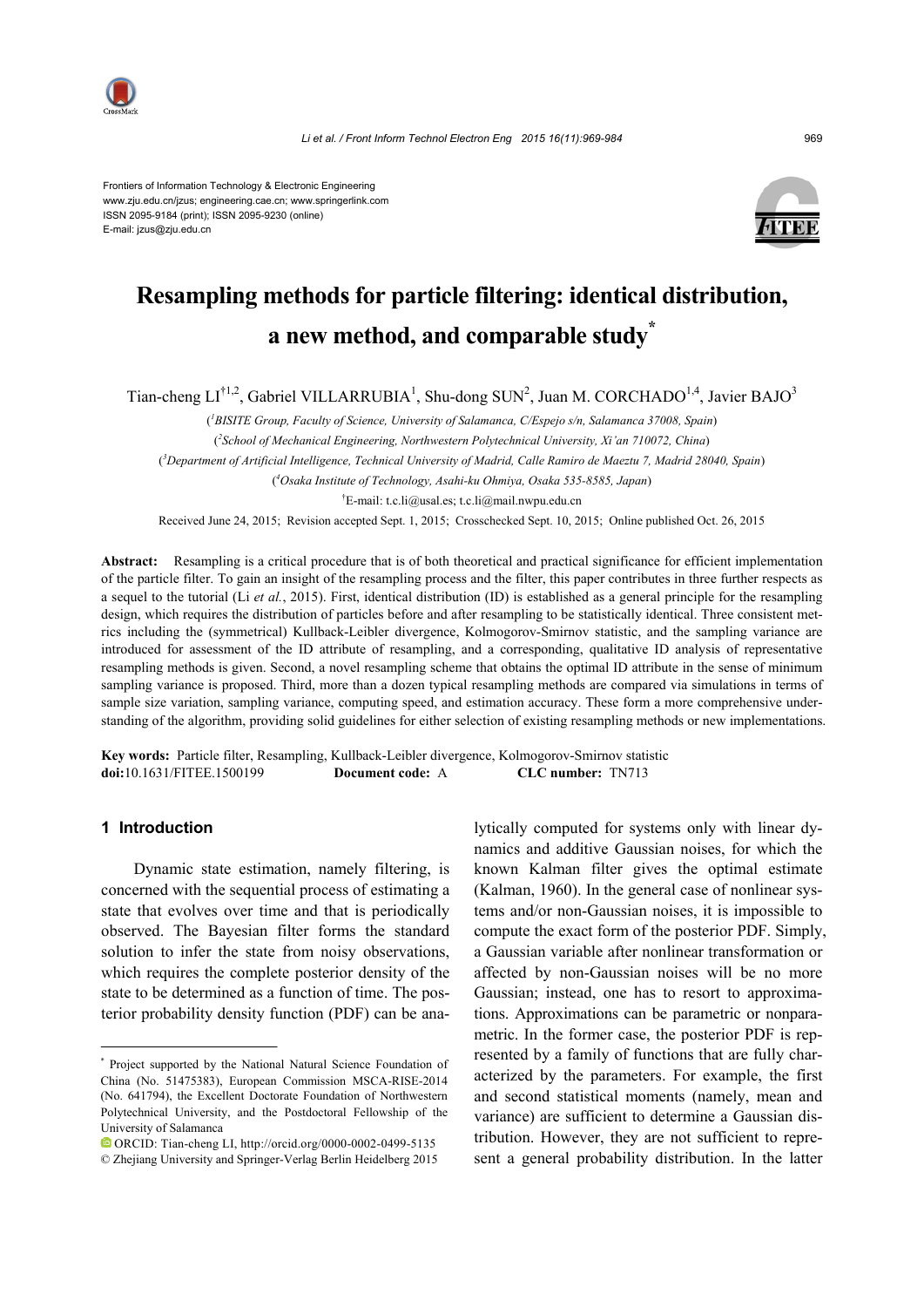

Frontiers of Information Technology & Electronic Engineering www.zju.edu.cn/jzus; engineering.cae.cn; www.springerlink.com ISSN 2095-9184 (print); ISSN 2095-9230 (online) E-mail: jzus@zju.edu.cn



# **Resampling methods for particle filtering: identical distribution, a new method, and comparable study\***

Tian-cheng  $LI^{\dagger1,2}$ , Gabriel VILLARRUBIA<sup>1</sup>, Shu-dong SUN<sup>2</sup>, Juan M. CORCHADO<sup>1,4</sup>, Javier BAJO<sup>3</sup>

( *1 BISITE Group, Faculty of Science, University of Salamanca, C/Espejo s/n, Salamanca 37008, Spain*) ( *2 School of Mechanical Engineering, Northwestern Polytechnical University, Xi'an 710072, China*) ( *3 Department of Artificial Intelligence, Technical University of Madrid, Calle Ramiro de Maeztu 7, Madrid 28040, Spain*) ( *4 Osaka Institute of Technology, Asahi-ku Ohmiya, Osaka 535-8585, Japan*) † E-mail: t.c.li@usal.es; t.c.li@mail.nwpu.edu.cn

Received June 24, 2015; Revision accepted Sept. 1, 2015; Crosschecked Sept. 10, 2015; Online published Oct. 26, 2015

**Abstract:** Resampling is a critical procedure that is of both theoretical and practical significance for efficient implementation of the particle filter. To gain an insight of the resampling process and the filter, this paper contributes in three further respects as a sequel to the tutorial (Li *et al.*, 2015). First, identical distribution (ID) is established as a general principle for the resampling design, which requires the distribution of particles before and after resampling to be statistically identical. Three consistent metrics including the (symmetrical) Kullback-Leibler divergence, Kolmogorov-Smirnov statistic, and the sampling variance are introduced for assessment of the ID attribute of resampling, and a corresponding, qualitative ID analysis of representative resampling methods is given. Second, a novel resampling scheme that obtains the optimal ID attribute in the sense of minimum sampling variance is proposed. Third, more than a dozen typical resampling methods are compared via simulations in terms of sample size variation, sampling variance, computing speed, and estimation accuracy. These form a more comprehensive understanding of the algorithm, providing solid guidelines for either selection of existing resampling methods or new implementations.

**Key words:** Particle filter, Resampling, Kullback-Leibler divergence, Kolmogorov-Smirnov statistic **doi:**10.1631/FITEE.1500199 **Document code:** A **CLC number:** TN713

# **1 Introduction**

Dynamic state estimation, namely filtering, is concerned with the sequential process of estimating a state that evolves over time and that is periodically observed. The Bayesian filter forms the standard solution to infer the state from noisy observations, which requires the complete posterior density of the state to be determined as a function of time. The posterior probability density function (PDF) can be analytically computed for systems only with linear dynamics and additive Gaussian noises, for which the known Kalman filter gives the optimal estimate (Kalman, 1960). In the general case of nonlinear systems and/or non-Gaussian noises, it is impossible to compute the exact form of the posterior PDF. Simply, a Gaussian variable after nonlinear transformation or affected by non-Gaussian noises will be no more Gaussian; instead, one has to resort to approximations. Approximations can be parametric or nonparametric. In the former case, the posterior PDF is represented by a family of functions that are fully characterized by the parameters. For example, the first and second statistical moments (namely, mean and variance) are sufficient to determine a Gaussian distribution. However, they are not sufficient to represent a general probability distribution. In the latter

<sup>\*</sup> Project supported by the National Natural Science Foundation of China (No. 51475383), European Commission MSCA-RISE-2014 (No. 641794), the Excellent Doctorate Foundation of Northwestern Polytechnical University, and the Postdoctoral Fellowship of the University of Salamanca

ORCID: Tian-cheng LI, http://orcid.org/0000-0002-0499-5135 © Zhejiang University and Springer-Verlag Berlin Heidelberg 2015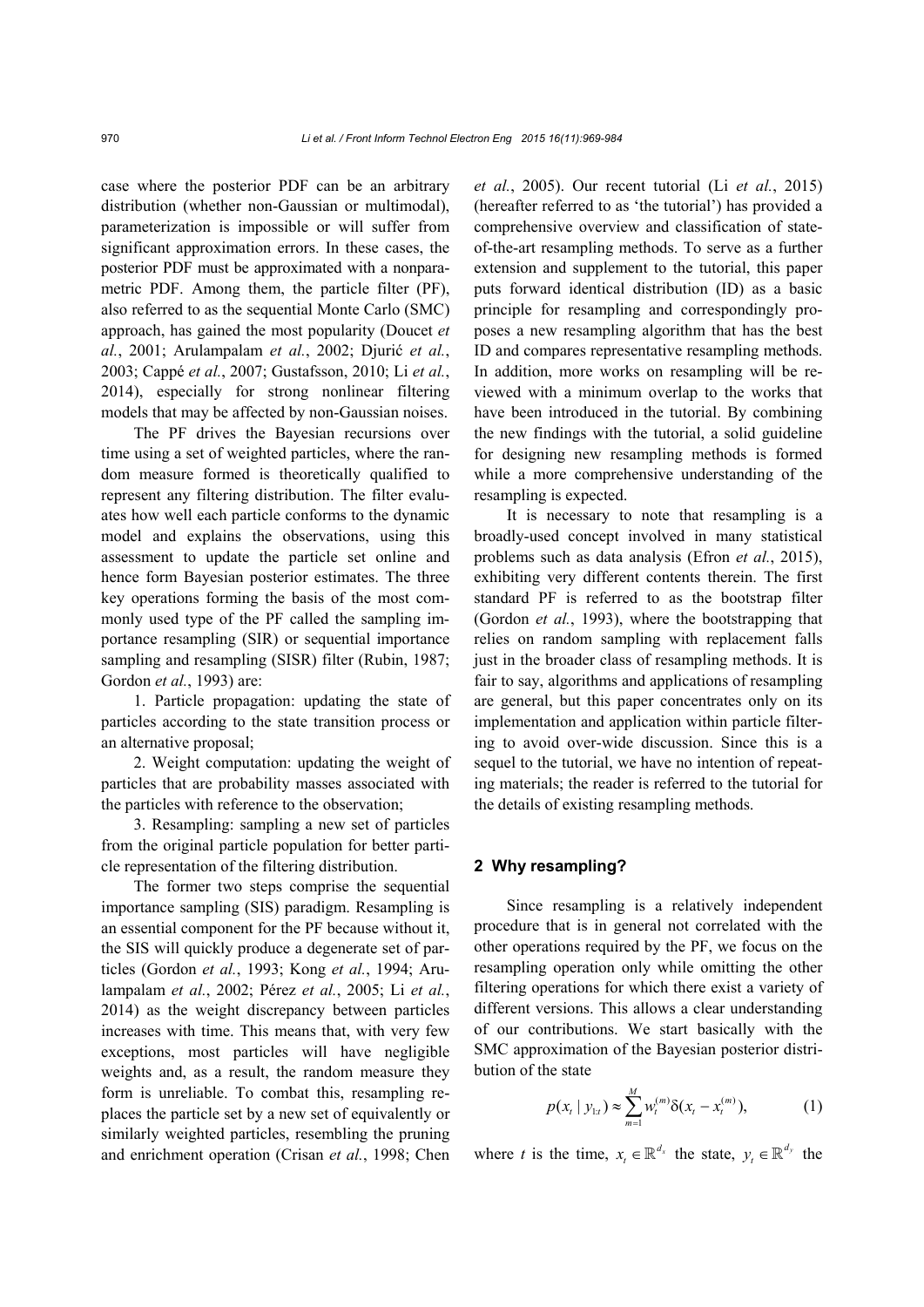case where the posterior PDF can be an arbitrary distribution (whether non-Gaussian or multimodal), parameterization is impossible or will suffer from significant approximation errors. In these cases, the posterior PDF must be approximated with a nonparametric PDF. Among them, the particle filter (PF), also referred to as the sequential Monte Carlo (SMC) approach, has gained the most popularity (Doucet *et al.*, 2001; Arulampalam *et al.*, 2002; Djurić *et al.*, 2003; Cappé *et al.*, 2007; Gustafsson, 2010; Li *et al.*, 2014), especially for strong nonlinear filtering models that may be affected by non-Gaussian noises.

The PF drives the Bayesian recursions over time using a set of weighted particles, where the random measure formed is theoretically qualified to represent any filtering distribution. The filter evaluates how well each particle conforms to the dynamic model and explains the observations, using this assessment to update the particle set online and hence form Bayesian posterior estimates. The three key operations forming the basis of the most commonly used type of the PF called the sampling importance resampling (SIR) or sequential importance sampling and resampling (SISR) filter (Rubin, 1987; Gordon *et al.*, 1993) are:

1. Particle propagation: updating the state of particles according to the state transition process or an alternative proposal;

2. Weight computation: updating the weight of particles that are probability masses associated with the particles with reference to the observation;

3. Resampling: sampling a new set of particles from the original particle population for better particle representation of the filtering distribution.

The former two steps comprise the sequential importance sampling (SIS) paradigm. Resampling is an essential component for the PF because without it, the SIS will quickly produce a degenerate set of particles (Gordon *et al.*, 1993; Kong *et al.*, 1994; Arulampalam *et al.*, 2002; Pérez *et al.*, 2005; Li *et al.*, 2014) as the weight discrepancy between particles increases with time. This means that, with very few exceptions, most particles will have negligible weights and, as a result, the random measure they form is unreliable. To combat this, resampling replaces the particle set by a new set of equivalently or similarly weighted particles, resembling the pruning and enrichment operation (Crisan *et al.*, 1998; Chen *et al.*, 2005). Our recent tutorial (Li *et al.*, 2015) (hereafter referred to as 'the tutorial') has provided a comprehensive overview and classification of stateof-the-art resampling methods. To serve as a further extension and supplement to the tutorial, this paper puts forward identical distribution (ID) as a basic principle for resampling and correspondingly proposes a new resampling algorithm that has the best ID and compares representative resampling methods. In addition, more works on resampling will be reviewed with a minimum overlap to the works that have been introduced in the tutorial. By combining the new findings with the tutorial, a solid guideline for designing new resampling methods is formed while a more comprehensive understanding of the resampling is expected.

It is necessary to note that resampling is a broadly-used concept involved in many statistical problems such as data analysis (Efron *et al.*, 2015), exhibiting very different contents therein. The first standard PF is referred to as the bootstrap filter (Gordon *et al.*, 1993), where the bootstrapping that relies on random sampling with replacement falls just in the broader class of resampling methods. It is fair to say, algorithms and applications of resampling are general, but this paper concentrates only on its implementation and application within particle filtering to avoid over-wide discussion. Since this is a sequel to the tutorial, we have no intention of repeating materials; the reader is referred to the tutorial for the details of existing resampling methods.

#### **2 Why resampling?**

Since resampling is a relatively independent procedure that is in general not correlated with the other operations required by the PF, we focus on the resampling operation only while omitting the other filtering operations for which there exist a variety of different versions. This allows a clear understanding of our contributions. We start basically with the SMC approximation of the Bayesian posterior distribution of the state

$$
p(x_t | y_{1:t}) \approx \sum_{m=1}^{M} w_t^{(m)} \delta(x_t - x_t^{(m)}),
$$
 (1)

where *t* is the time,  $x_t \in \mathbb{R}^{d_x}$  the state,  $y_t \in \mathbb{R}^{d_y}$  the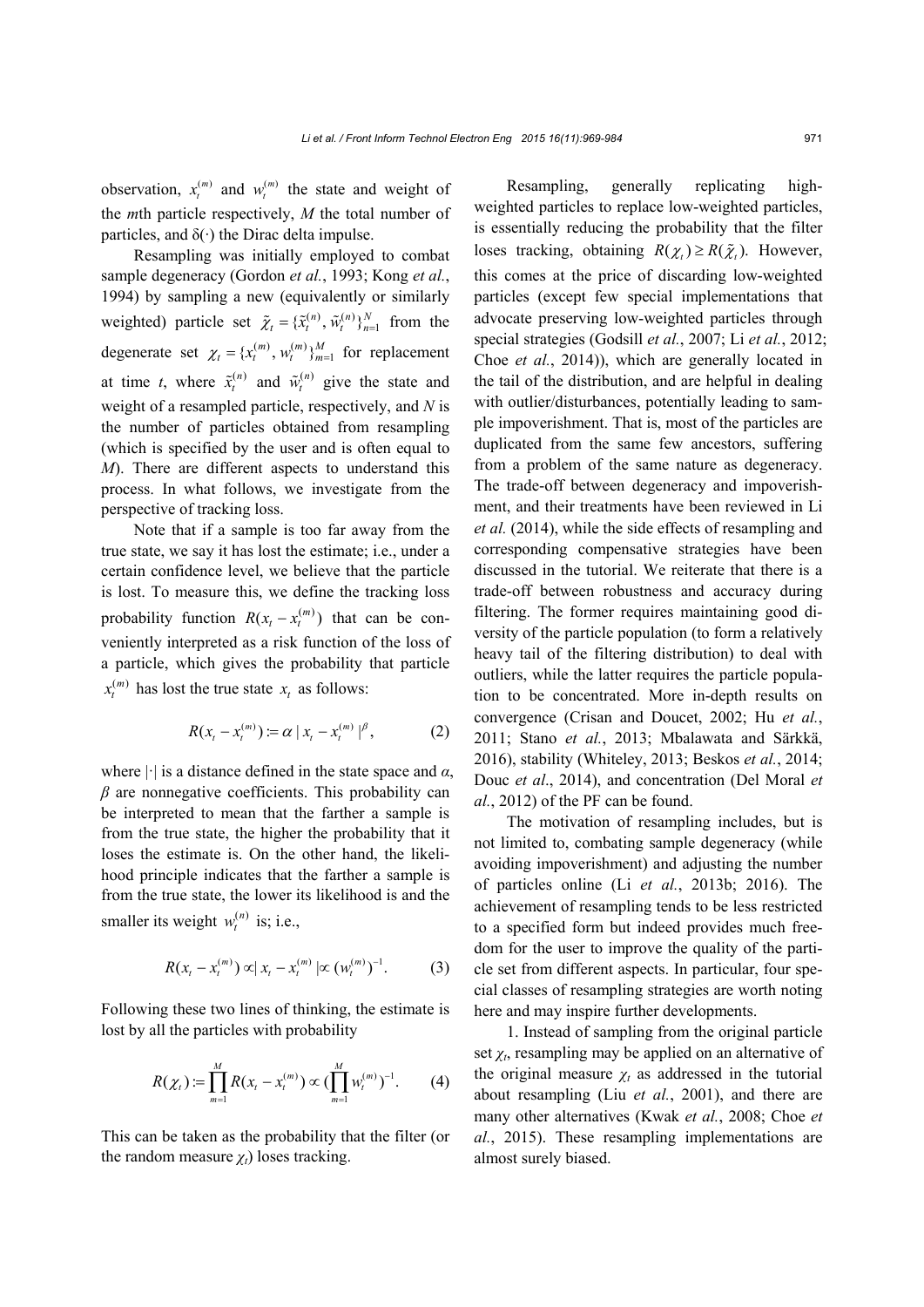observation,  $x_t^{(m)}$  and  $w_t^{(m)}$  the state and weight of the *m*th particle respectively, *M* the total number of particles, and  $\delta(\cdot)$  the Dirac delta impulse.

Resampling was initially employed to combat sample degeneracy (Gordon *et al.*, 1993; Kong *et al.*, 1994) by sampling a new (equivalently or similarly weighted) particle set  $\tilde{\chi}_t = {\{\tilde{x}_t^{(n)}, \tilde{w}_t^{(n)}\}}_{n=1}^N$  from the degenerate set  $\chi_t = \{x_t^{(m)}, w_t^{(m)}\}_{m=1}^M$  for replacement at time *t*, where  $\tilde{x}_t^{(n)}$  and  $\tilde{w}_t^{(n)}$  give the state and weight of a resampled particle, respectively, and *N* is the number of particles obtained from resampling (which is specified by the user and is often equal to *M*). There are different aspects to understand this process. In what follows, we investigate from the perspective of tracking loss.

Note that if a sample is too far away from the true state, we say it has lost the estimate; i.e., under a certain confidence level, we believe that the particle is lost. To measure this, we define the tracking loss probability function  $R(x_t - x_t^{(m)})$  that can be conveniently interpreted as a risk function of the loss of a particle, which gives the probability that particle  $x_t^{(m)}$  has lost the true state  $x_t$  as follows:

$$
R(x_t - x_t^{(m)}) = \alpha |x_t - x_t^{(m)}|^\beta, \qquad (2)
$$

where  $|\cdot|$  is a distance defined in the state space and  $\alpha$ , *β* are nonnegative coefficients. This probability can be interpreted to mean that the farther a sample is from the true state, the higher the probability that it loses the estimate is. On the other hand, the likelihood principle indicates that the farther a sample is from the true state, the lower its likelihood is and the smaller its weight  $w_t^{(n)}$  is; i.e.,

$$
R(x_t - x_t^{(m)}) \propto |x_t - x_t^{(m)}| \propto (w_t^{(m)})^{-1}.
$$
 (3)

Following these two lines of thinking, the estimate is lost by all the particles with probability

$$
R(\chi_t) := \prod_{m=1}^{M} R(x_t - x_t^{(m)}) \propto (\prod_{m=1}^{M} w_t^{(m)})^{-1}.
$$
 (4)

This can be taken as the probability that the filter (or the random measure  $\chi_t$ ) loses tracking.

Resampling, generally replicating highweighted particles to replace low-weighted particles, is essentially reducing the probability that the filter loses tracking, obtaining  $R(\chi_t) \geq R(\tilde{\chi}_t)$ . However, this comes at the price of discarding low-weighted particles (except few special implementations that advocate preserving low-weighted particles through special strategies (Godsill *et al.*, 2007; Li *et al.*, 2012; Choe *et al.*, 2014)), which are generally located in the tail of the distribution, and are helpful in dealing with outlier/disturbances, potentially leading to sample impoverishment. That is, most of the particles are duplicated from the same few ancestors, suffering from a problem of the same nature as degeneracy. The trade-off between degeneracy and impoverishment, and their treatments have been reviewed in Li *et al.* (2014), while the side effects of resampling and corresponding compensative strategies have been discussed in the tutorial. We reiterate that there is a trade-off between robustness and accuracy during filtering. The former requires maintaining good diversity of the particle population (to form a relatively heavy tail of the filtering distribution) to deal with outliers, while the latter requires the particle population to be concentrated. More in-depth results on convergence (Crisan and Doucet, 2002; Hu *et al.*, 2011; Stano *et al.*, 2013; Mbalawata and Särkkä, 2016), stability (Whiteley, 2013; Beskos *et al.*, 2014; Douc *et al*., 2014), and concentration (Del Moral *et al.*, 2012) of the PF can be found.

The motivation of resampling includes, but is not limited to, combating sample degeneracy (while avoiding impoverishment) and adjusting the number of particles online (Li *et al.*, 2013b; 2016). The achievement of resampling tends to be less restricted to a specified form but indeed provides much freedom for the user to improve the quality of the particle set from different aspects. In particular, four special classes of resampling strategies are worth noting here and may inspire further developments.

1. Instead of sampling from the original particle set  $\chi$ <sup>t</sup>, resampling may be applied on an alternative of the original measure  $\chi_t$  as addressed in the tutorial about resampling (Liu *et al.*, 2001), and there are many other alternatives (Kwak *et al.*, 2008; Choe *et al.*, 2015). These resampling implementations are almost surely biased.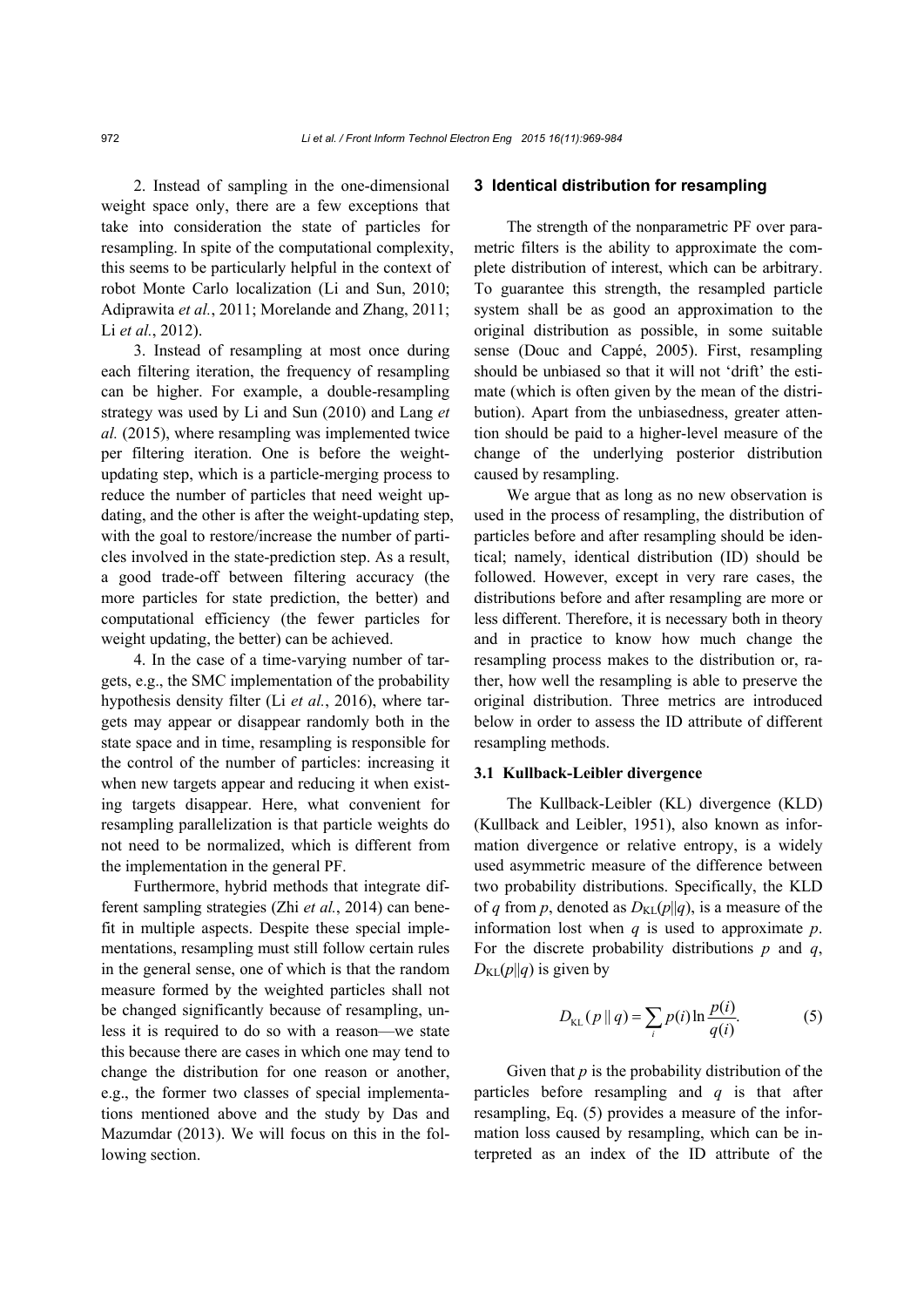2. Instead of sampling in the one-dimensional weight space only, there are a few exceptions that take into consideration the state of particles for resampling. In spite of the computational complexity, this seems to be particularly helpful in the context of robot Monte Carlo localization (Li and Sun, 2010; Adiprawita *et al.*, 2011; Morelande and Zhang, 2011; Li *et al.*, 2012).

3. Instead of resampling at most once during each filtering iteration, the frequency of resampling can be higher. For example, a double-resampling strategy was used by Li and Sun (2010) and Lang *et al.* (2015), where resampling was implemented twice per filtering iteration. One is before the weightupdating step, which is a particle-merging process to reduce the number of particles that need weight updating, and the other is after the weight-updating step, with the goal to restore/increase the number of particles involved in the state-prediction step. As a result, a good trade-off between filtering accuracy (the more particles for state prediction, the better) and computational efficiency (the fewer particles for weight updating, the better) can be achieved.

4. In the case of a time-varying number of targets, e.g., the SMC implementation of the probability hypothesis density filter (Li *et al.*, 2016), where targets may appear or disappear randomly both in the state space and in time, resampling is responsible for the control of the number of particles: increasing it when new targets appear and reducing it when existing targets disappear. Here, what convenient for resampling parallelization is that particle weights do not need to be normalized, which is different from the implementation in the general PF.

Furthermore, hybrid methods that integrate different sampling strategies (Zhi *et al.*, 2014) can benefit in multiple aspects. Despite these special implementations, resampling must still follow certain rules in the general sense, one of which is that the random measure formed by the weighted particles shall not be changed significantly because of resampling, unless it is required to do so with a reason—we state this because there are cases in which one may tend to change the distribution for one reason or another, e.g., the former two classes of special implementations mentioned above and the study by Das and Mazumdar (2013). We will focus on this in the following section.

#### **3 Identical distribution for resampling**

The strength of the nonparametric PF over parametric filters is the ability to approximate the complete distribution of interest, which can be arbitrary. To guarantee this strength, the resampled particle system shall be as good an approximation to the original distribution as possible, in some suitable sense (Douc and Cappé, 2005). First, resampling should be unbiased so that it will not 'drift' the estimate (which is often given by the mean of the distribution). Apart from the unbiasedness, greater attention should be paid to a higher-level measure of the change of the underlying posterior distribution caused by resampling.

We argue that as long as no new observation is used in the process of resampling, the distribution of particles before and after resampling should be identical; namely, identical distribution (ID) should be followed. However, except in very rare cases, the distributions before and after resampling are more or less different. Therefore, it is necessary both in theory and in practice to know how much change the resampling process makes to the distribution or, rather, how well the resampling is able to preserve the original distribution. Three metrics are introduced below in order to assess the ID attribute of different resampling methods.

## **3.1 Kullback-Leibler divergence**

The Kullback-Leibler (KL) divergence (KLD) (Kullback and Leibler, 1951), also known as information divergence or relative entropy, is a widely used asymmetric measure of the difference between two probability distributions. Specifically, the KLD of *q* from *p*, denoted as  $D_{KL}(p||q)$ , is a measure of the information lost when *q* is used to approximate *p*. For the discrete probability distributions *p* and *q*,  $D_{\text{KL}}(p||q)$  is given by

$$
D_{\text{KL}}(p \| q) = \sum_{i} p(i) \ln \frac{p(i)}{q(i)}.
$$
 (5)

Given that *p* is the probability distribution of the particles before resampling and *q* is that after resampling, Eq. (5) provides a measure of the information loss caused by resampling, which can be interpreted as an index of the ID attribute of the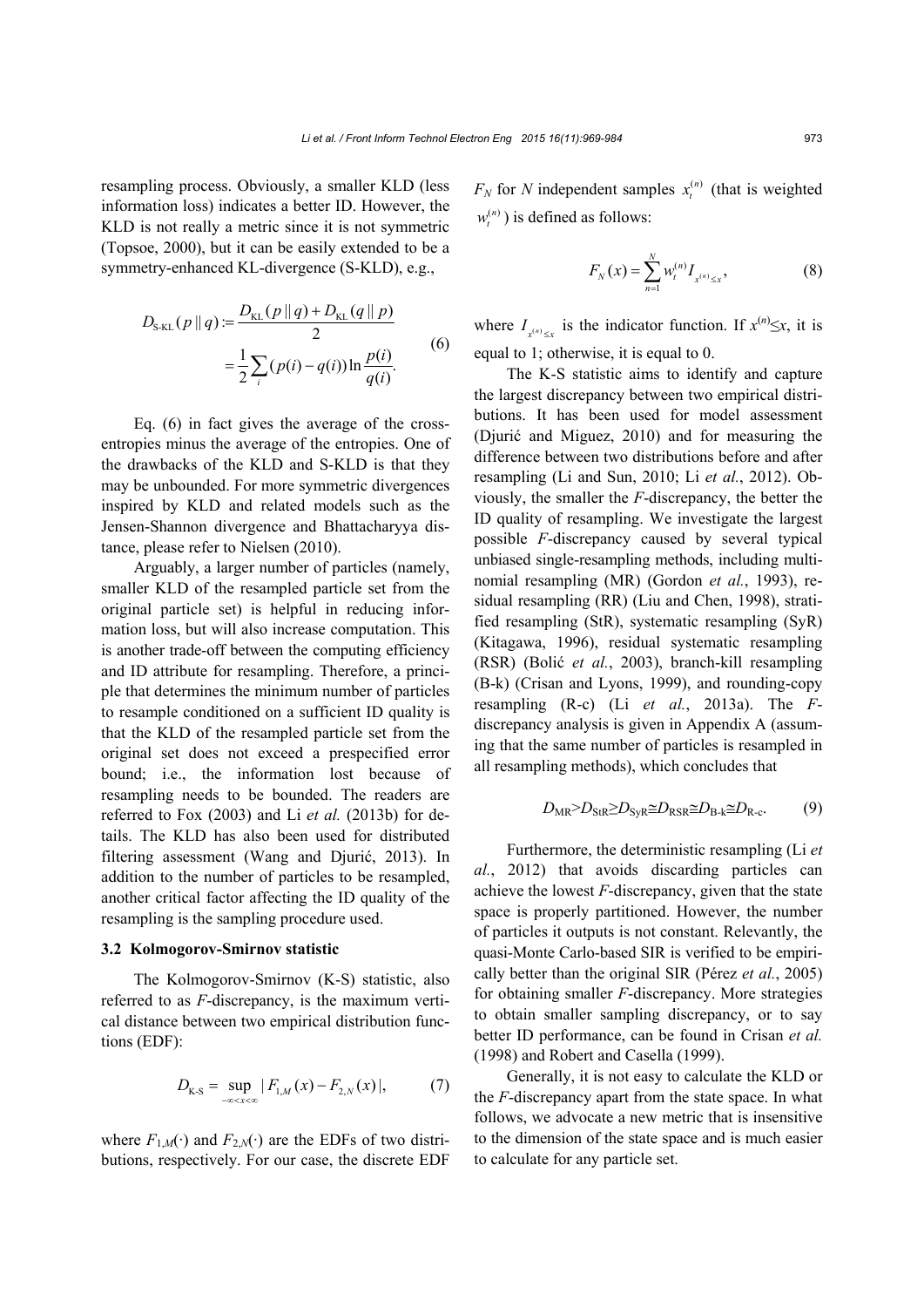resampling process. Obviously, a smaller KLD (less information loss) indicates a better ID. However, the KLD is not really a metric since it is not symmetric (Topsoe, 2000), but it can be easily extended to be a symmetry-enhanced KL-divergence (S-KLD), e.g.,

$$
D_{\text{S-KL}}(p \, \| \, q) = \frac{D_{\text{KL}}(p \, \| \, q) + D_{\text{KL}}(q \, \| \, p)}{2}
$$
\n
$$
= \frac{1}{2} \sum_{i} (p(i) - q(i)) \ln \frac{p(i)}{q(i)}.
$$
\n(6)

Eq. (6) in fact gives the average of the crossentropies minus the average of the entropies. One of the drawbacks of the KLD and S-KLD is that they may be unbounded. For more symmetric divergences inspired by KLD and related models such as the Jensen-Shannon divergence and Bhattacharyya distance, please refer to Nielsen (2010).

Arguably, a larger number of particles (namely, smaller KLD of the resampled particle set from the original particle set) is helpful in reducing information loss, but will also increase computation. This is another trade-off between the computing efficiency and ID attribute for resampling. Therefore, a principle that determines the minimum number of particles to resample conditioned on a sufficient ID quality is that the KLD of the resampled particle set from the original set does not exceed a prespecified error bound; i.e., the information lost because of resampling needs to be bounded. The readers are referred to Fox (2003) and Li *et al.* (2013b) for details. The KLD has also been used for distributed filtering assessment (Wang and Djurić, 2013). In addition to the number of particles to be resampled, another critical factor affecting the ID quality of the resampling is the sampling procedure used.

#### **3.2 Kolmogorov-Smirnov statistic**

The Kolmogorov-Smirnov (K-S) statistic, also referred to as *F*-discrepancy, is the maximum vertical distance between two empirical distribution functions (EDF):

$$
D_{K-S} = \sup_{-\infty < x < \infty} |F_{1,M}(x) - F_{2,N}(x)|, \tag{7}
$$

where  $F_{1,M}(\cdot)$  and  $F_{2,N}(\cdot)$  are the EDFs of two distributions, respectively. For our case, the discrete EDF  $F_N$  for *N* independent samples  $x_t^{(n)}$  (that is weighted  $w<sup>(n)</sup>$  is defined as follows:

$$
F_N(x) = \sum_{n=1}^N w_t^{(n)} I_{x^{(n)} \le x},
$$
 (8)

where  $I_{x^{(n)} \leq x}$  is the indicator function. If  $x^{(n)} \leq x$ , it is equal to 1; otherwise, it is equal to 0.

The K-S statistic aims to identify and capture the largest discrepancy between two empirical distributions. It has been used for model assessment (Djurić and Miguez, 2010) and for measuring the difference between two distributions before and after resampling (Li and Sun, 2010; Li *et al.*, 2012). Obviously, the smaller the *F*-discrepancy, the better the ID quality of resampling. We investigate the largest possible *F*-discrepancy caused by several typical unbiased single-resampling methods, including multinomial resampling (MR) (Gordon *et al.*, 1993), residual resampling (RR) (Liu and Chen, 1998), stratified resampling (StR), systematic resampling (SyR) (Kitagawa, 1996), residual systematic resampling (RSR) (Bolić *et al.*, 2003), branch-kill resampling (B-k) (Crisan and Lyons, 1999), and rounding-copy resampling (R-c) (Li *et al.*, 2013a). The *F*discrepancy analysis is given in Appendix A (assuming that the same number of particles is resampled in all resampling methods), which concludes that

$$
D_{MR} > D_{StR} \ge D_{SyR} \equiv D_{RSR} \equiv D_{B-k} \equiv D_{R-c}.
$$
 (9)

Furthermore, the deterministic resampling (Li *et al.*, 2012) that avoids discarding particles can achieve the lowest *F*-discrepancy, given that the state space is properly partitioned. However, the number of particles it outputs is not constant. Relevantly, the quasi-Monte Carlo-based SIR is verified to be empirically better than the original SIR (Pérez *et al.*, 2005) for obtaining smaller *F*-discrepancy. More strategies to obtain smaller sampling discrepancy, or to say better ID performance, can be found in Crisan *et al.* (1998) and Robert and Casella (1999).

Generally, it is not easy to calculate the KLD or the *F*-discrepancy apart from the state space. In what follows, we advocate a new metric that is insensitive to the dimension of the state space and is much easier to calculate for any particle set.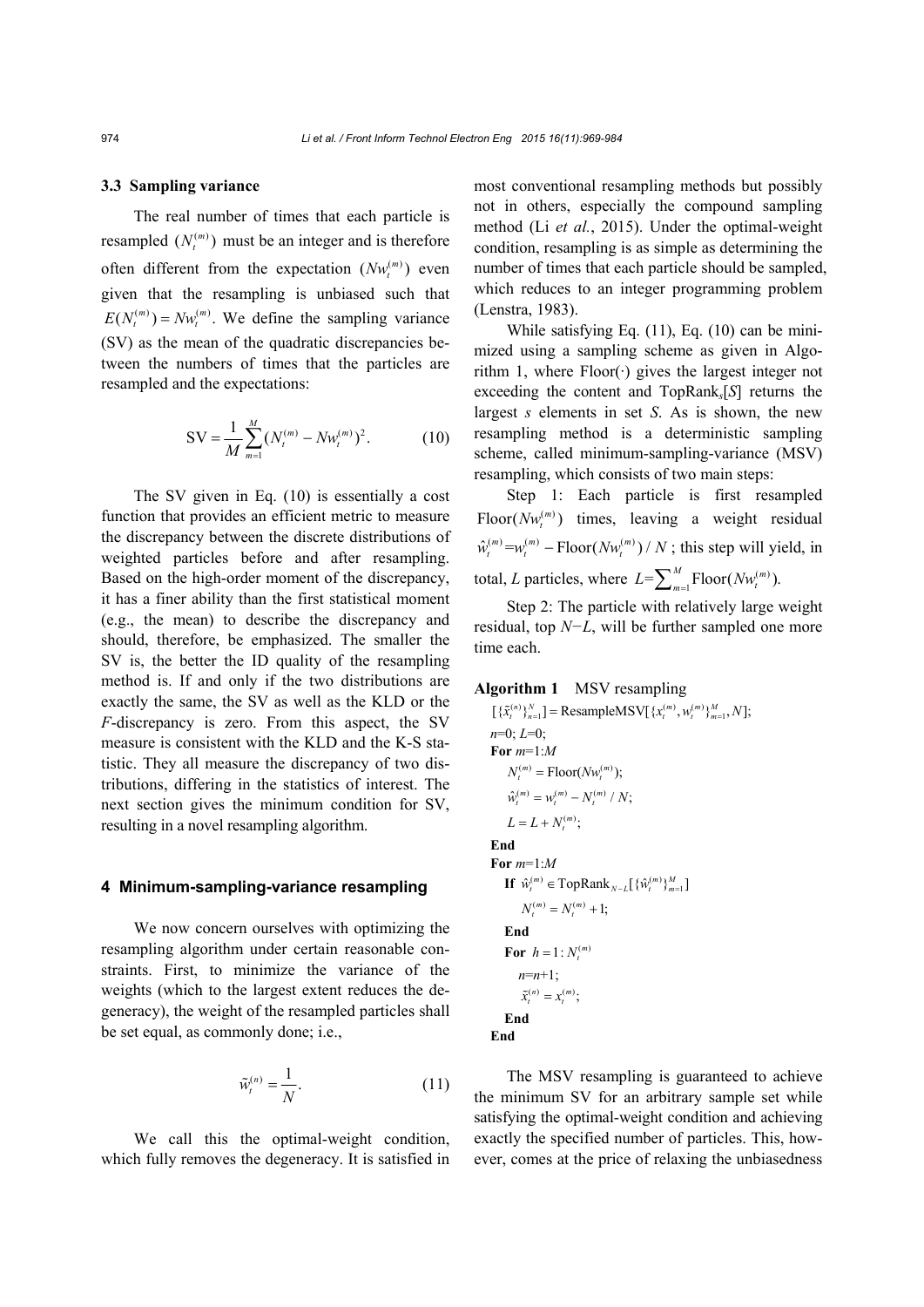## **3.3 Sampling variance**

The real number of times that each particle is resampled  $(N_t^{(m)})$  must be an integer and is therefore often different from the expectation  $(Nw<sub>i</sub><sup>(m)</sup>)$  even given that the resampling is unbiased such that  $E(N_t^{(m)}) = N w_t^{(m)}$ . We define the sampling variance (SV) as the mean of the quadratic discrepancies between the numbers of times that the particles are resampled and the expectations:

$$
SV = \frac{1}{M} \sum_{m=1}^{M} (N_t^{(m)} - Nw_t^{(m)})^2.
$$
 (10)

The SV given in Eq. (10) is essentially a cost function that provides an efficient metric to measure the discrepancy between the discrete distributions of weighted particles before and after resampling. Based on the high-order moment of the discrepancy, it has a finer ability than the first statistical moment (e.g., the mean) to describe the discrepancy and should, therefore, be emphasized. The smaller the SV is, the better the ID quality of the resampling method is. If and only if the two distributions are exactly the same, the SV as well as the KLD or the *F*-discrepancy is zero. From this aspect, the SV measure is consistent with the KLD and the K-S statistic. They all measure the discrepancy of two distributions, differing in the statistics of interest. The next section gives the minimum condition for SV, resulting in a novel resampling algorithm.

#### **4 Minimum-sampling-variance resampling**

We now concern ourselves with optimizing the resampling algorithm under certain reasonable constraints. First, to minimize the variance of the weights (which to the largest extent reduces the degeneracy), the weight of the resampled particles shall be set equal, as commonly done; i.e.,

$$
\tilde{w}_t^{(n)} = \frac{1}{N}.\tag{11}
$$

We call this the optimal-weight condition, which fully removes the degeneracy. It is satisfied in most conventional resampling methods but possibly not in others, especially the compound sampling method (Li *et al.*, 2015). Under the optimal-weight condition, resampling is as simple as determining the number of times that each particle should be sampled, which reduces to an integer programming problem (Lenstra, 1983).

While satisfying Eq. (11), Eq. (10) can be minimized using a sampling scheme as given in Algorithm 1, where  $Floor(\cdot)$  gives the largest integer not exceeding the content and TopRank*s*[*S*] returns the largest *s* elements in set *S*. As is shown, the new resampling method is a deterministic sampling scheme, called minimum-sampling-variance (MSV) resampling, which consists of two main steps:

Step 1: Each particle is first resampled  $Floor(Nw<sub>i</sub><sup>(m)</sup>)$  times, leaving a weight residual  $\hat{w}_{t}^{(m)} = w_{t}^{(m)} - \text{Floor}(Nw_{t}^{(m)}) / N$ ; this step will yield, in total, *L* particles, where  $L = \sum_{m=1}^{M} \text{Floor}(N w_t^{(m)})$ .

Step 2: The particle with relatively large weight residual, top *N−L*, will be further sampled one more time each.

# **Algorithm 1** MSV resampling

 $[\{\tilde{x}_t^{(n)}\}_{n=1}^N]$  = ResampleMSV[ $\{x_t^{(m)}, w_t^{(m)}\}_{m=1}^M$ , *N*]; *n*=0; *L*=0; **For** *m*=1:*M*  $N_t^{(m)} =$  Floor( $N w_t^{(m)}$ );  $\hat{w}_{i}^{(m)} = w_{i}^{(m)} - N_{i}^{(m)}/N_{i}$  $L = L + N_t^{(m)}$ ; **End For** *m*=1:*M* **If**  $\hat{w}_{t}^{(m)} \in \text{TopRank}_{N-L}[\{\hat{w}_{t}^{(m)}\}_{m=1}^{M}]$  $N_t^{(m)} = N_t^{(m)} + 1;$  **End For**  $h = 1: N_t^{(m)}$  *n*=*n*+1;  $\tilde{x}_t^{(n)} = x_t^{(m)};$  **End End**

The MSV resampling is guaranteed to achieve the minimum SV for an arbitrary sample set while satisfying the optimal-weight condition and achieving exactly the specified number of particles. This, however, comes at the price of relaxing the unbiasedness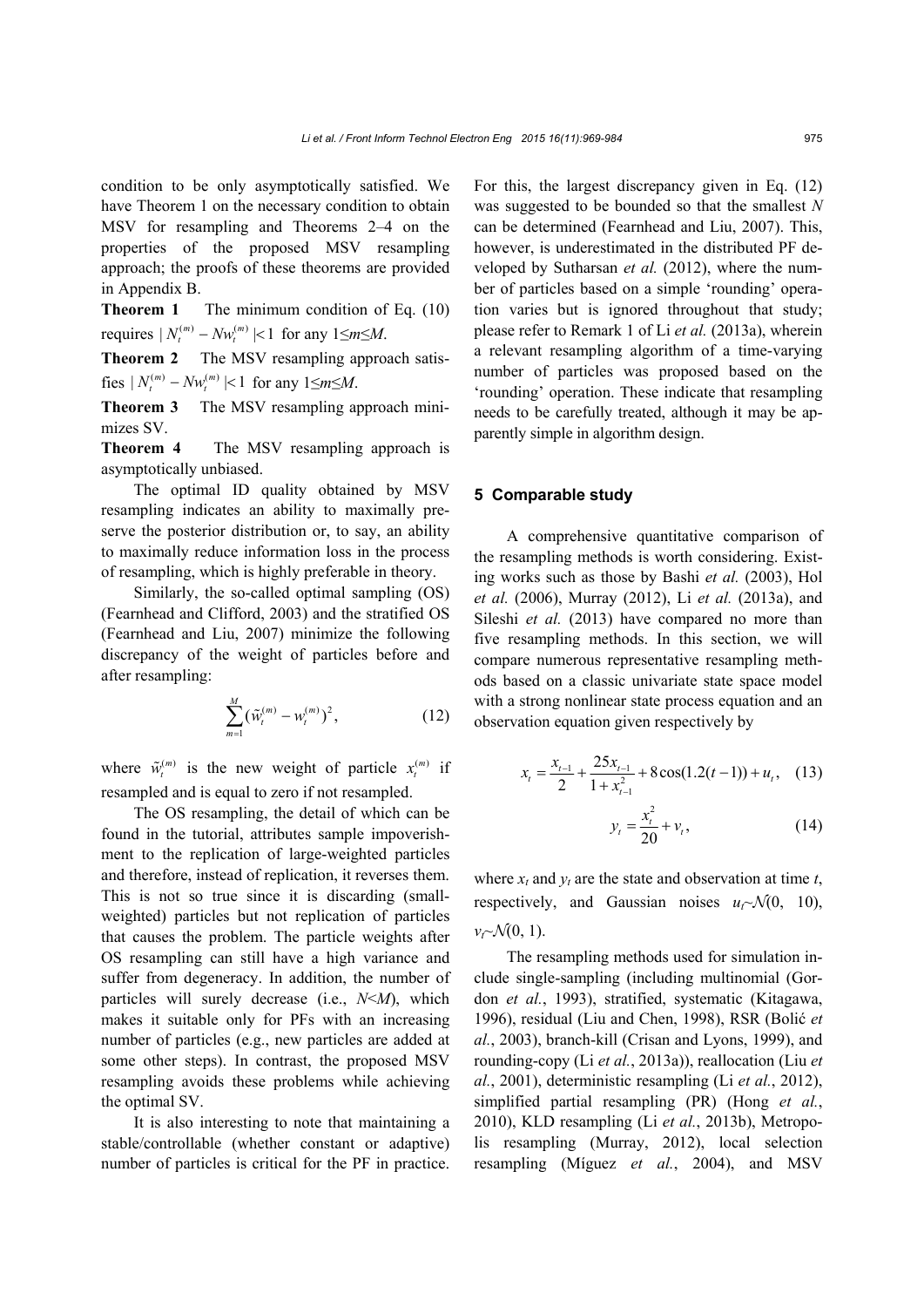condition to be only asymptotically satisfied. We have Theorem 1 on the necessary condition to obtain MSV for resampling and Theorems 2–4 on the properties of the proposed MSV resampling approach; the proofs of these theorems are provided in Appendix B.

**Theorem 1** The minimum condition of Eq. (10) requires  $| N_{t}^{(m)} - N w_{t}^{(m)} | < 1$  for any  $1 \le m \le M$ .

**Theorem 2** The MSV resampling approach satisfies  $|N_t^{(m)} - N_W_t^{(m)}| < 1$  for any  $1 \le m \le M$ .

**Theorem 3** The MSV resampling approach minimizes SV.

**Theorem 4** The MSV resampling approach is asymptotically unbiased.

The optimal ID quality obtained by MSV resampling indicates an ability to maximally preserve the posterior distribution or, to say, an ability to maximally reduce information loss in the process of resampling, which is highly preferable in theory.

Similarly, the so-called optimal sampling (OS) (Fearnhead and Clifford, 2003) and the stratified OS (Fearnhead and Liu, 2007) minimize the following discrepancy of the weight of particles before and after resampling:

$$
\sum_{m=1}^{M} (\tilde{w}_{t}^{(m)} - w_{t}^{(m)})^{2}, \qquad (12)
$$

where  $\tilde{w}_t^{(m)}$  is the new weight of particle  $x_t^{(m)}$  if resampled and is equal to zero if not resampled.

The OS resampling, the detail of which can be found in the tutorial, attributes sample impoverishment to the replication of large-weighted particles and therefore, instead of replication, it reverses them. This is not so true since it is discarding (smallweighted) particles but not replication of particles that causes the problem. The particle weights after OS resampling can still have a high variance and suffer from degeneracy. In addition, the number of particles will surely decrease (i.e., *N*<*M*), which makes it suitable only for PFs with an increasing number of particles (e.g., new particles are added at some other steps). In contrast, the proposed MSV resampling avoids these problems while achieving the optimal SV.

It is also interesting to note that maintaining a stable/controllable (whether constant or adaptive) number of particles is critical for the PF in practice. For this, the largest discrepancy given in Eq. (12) was suggested to be bounded so that the smallest *N* can be determined (Fearnhead and Liu, 2007). This, however, is underestimated in the distributed PF developed by Sutharsan *et al.* (2012), where the number of particles based on a simple 'rounding' operation varies but is ignored throughout that study; please refer to Remark 1 of Li *et al.* (2013a), wherein a relevant resampling algorithm of a time-varying number of particles was proposed based on the 'rounding' operation. These indicate that resampling needs to be carefully treated, although it may be apparently simple in algorithm design.

## **5 Comparable study**

A comprehensive quantitative comparison of the resampling methods is worth considering. Existing works such as those by Bashi *et al.* (2003), Hol *et al.* (2006), Murray (2012), Li *et al.* (2013a), and Sileshi *et al.* (2013) have compared no more than five resampling methods. In this section, we will compare numerous representative resampling methods based on a classic univariate state space model with a strong nonlinear state process equation and an observation equation given respectively by

$$
x_{t} = \frac{x_{t-1}}{2} + \frac{25x_{t-1}}{1 + x_{t-1}^{2}} + 8\cos(1.2(t-1)) + u_{t},
$$
 (13)  

$$
y_{t} = \frac{x_{t}^{2}}{20} + v_{t},
$$
 (14)

where  $x_t$  and  $y_t$  are the state and observation at time  $t$ , respectively, and Gaussian noises  $u \sim \mathcal{N}(0, 10)$ ,  $v_r \sim \mathcal{N}(0, 1)$ .

The resampling methods used for simulation include single-sampling (including multinomial (Gordon *et al.*, 1993), stratified, systematic (Kitagawa, 1996), residual (Liu and Chen, 1998), RSR (Bolić *et al.*, 2003), branch-kill (Crisan and Lyons, 1999), and rounding-copy (Li *et al.*, 2013a)), reallocation (Liu *et al.*, 2001), deterministic resampling (Li *et al.*, 2012), simplified partial resampling (PR) (Hong *et al.*, 2010), KLD resampling (Li *et al.*, 2013b), Metropolis resampling (Murray, 2012), local selection resampling (Míguez *et al.*, 2004), and MSV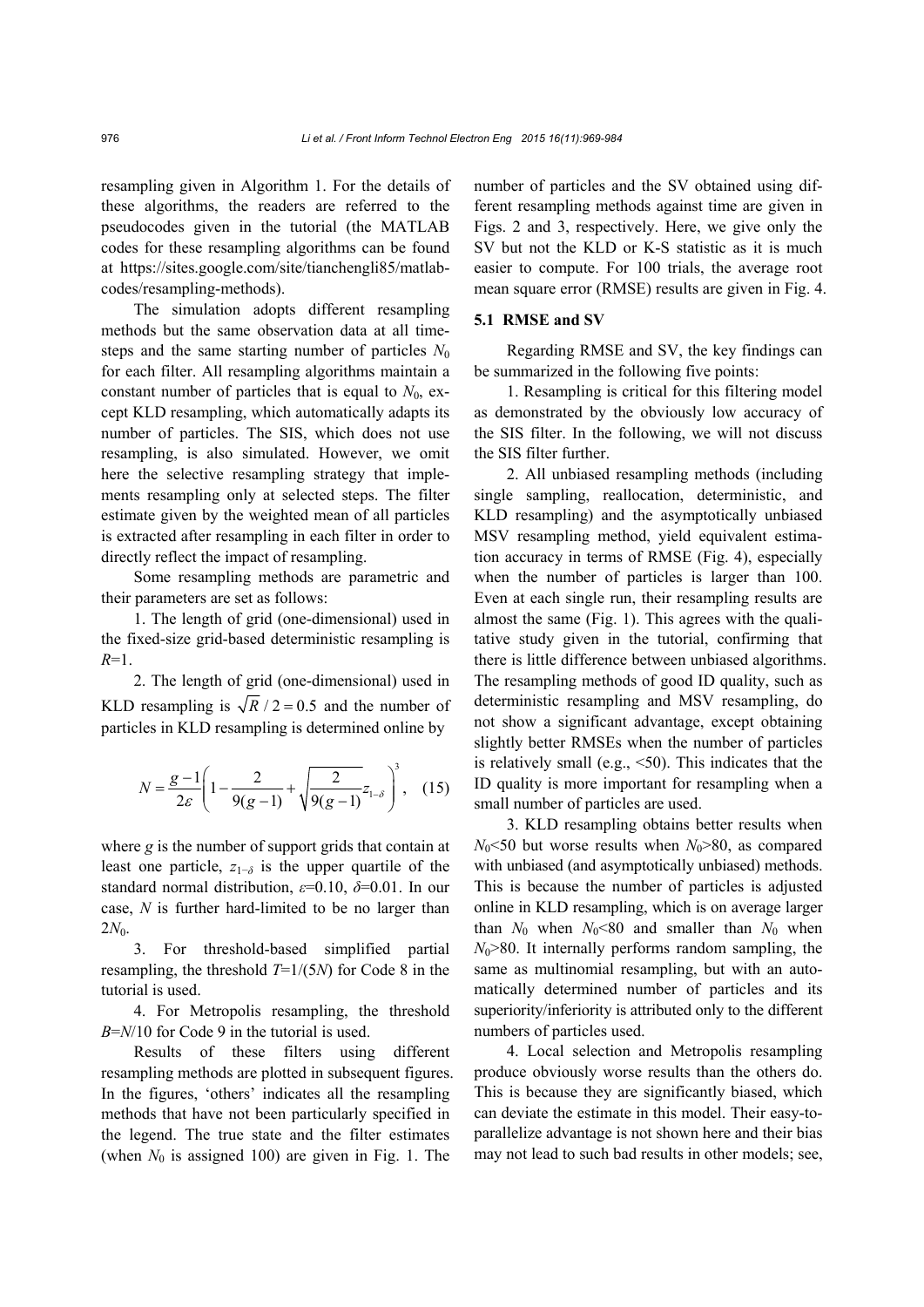resampling given in Algorithm 1. For the details of these algorithms, the readers are referred to the pseudocodes given in the tutorial (the MATLAB codes for these resampling algorithms can be found at https://sites.google.com/site/tianchengli85/matlabcodes/resampling-methods).

The simulation adopts different resampling methods but the same observation data at all timesteps and the same starting number of particles  $N_0$ for each filter. All resampling algorithms maintain a constant number of particles that is equal to  $N_0$ , except KLD resampling, which automatically adapts its number of particles. The SIS, which does not use resampling, is also simulated. However, we omit here the selective resampling strategy that implements resampling only at selected steps. The filter estimate given by the weighted mean of all particles is extracted after resampling in each filter in order to directly reflect the impact of resampling.

Some resampling methods are parametric and their parameters are set as follows:

1. The length of grid (one-dimensional) used in the fixed-size grid-based deterministic resampling is *R*=1.

2. The length of grid (one-dimensional) used in KLD resampling is  $\sqrt{R}/2 = 0.5$  and the number of particles in KLD resampling is determined online by

$$
N = \frac{g-1}{2\varepsilon} \left( 1 - \frac{2}{9(g-1)} + \sqrt{\frac{2}{9(g-1)}} z_{1-\delta} \right)^3, \quad (15)
$$

where *g* is the number of support grids that contain at least one particle,  $z_{1-\delta}$  is the upper quartile of the standard normal distribution, *ε*=0.10, *δ*=0.01. In our case, *N* is further hard-limited to be no larger than  $2N<sub>0</sub>$ .

3. For threshold-based simplified partial resampling, the threshold *T*=1/(5*N*) for Code 8 in the tutorial is used.

4. For Metropolis resampling, the threshold *B*=*N*/10 for Code 9 in the tutorial is used.

Results of these filters using different resampling methods are plotted in subsequent figures. In the figures, 'others' indicates all the resampling methods that have not been particularly specified in the legend. The true state and the filter estimates (when  $N_0$  is assigned 100) are given in Fig. 1. The

number of particles and the SV obtained using different resampling methods against time are given in Figs. 2 and 3, respectively. Here, we give only the SV but not the KLD or K-S statistic as it is much easier to compute. For 100 trials, the average root mean square error (RMSE) results are given in Fig. 4.

# **5.1 RMSE and SV**

Regarding RMSE and SV, the key findings can be summarized in the following five points:

1. Resampling is critical for this filtering model as demonstrated by the obviously low accuracy of the SIS filter. In the following, we will not discuss the SIS filter further.

2. All unbiased resampling methods (including single sampling, reallocation, deterministic, and KLD resampling) and the asymptotically unbiased MSV resampling method, yield equivalent estimation accuracy in terms of RMSE (Fig. 4), especially when the number of particles is larger than 100. Even at each single run, their resampling results are almost the same (Fig. 1). This agrees with the qualitative study given in the tutorial, confirming that there is little difference between unbiased algorithms. The resampling methods of good ID quality, such as deterministic resampling and MSV resampling, do not show a significant advantage, except obtaining slightly better RMSEs when the number of particles is relatively small (e.g.,  $\leq 50$ ). This indicates that the ID quality is more important for resampling when a small number of particles are used.

3. KLD resampling obtains better results when  $N_0$ <50 but worse results when  $N_0$ >80, as compared with unbiased (and asymptotically unbiased) methods. This is because the number of particles is adjusted online in KLD resampling, which is on average larger than  $N_0$  when  $N_0$ <80 and smaller than  $N_0$  when  $N_0$  $>$ 80. It internally performs random sampling, the same as multinomial resampling, but with an automatically determined number of particles and its superiority/inferiority is attributed only to the different numbers of particles used.

4. Local selection and Metropolis resampling produce obviously worse results than the others do. This is because they are significantly biased, which can deviate the estimate in this model. Their easy-toparallelize advantage is not shown here and their bias may not lead to such bad results in other models; see,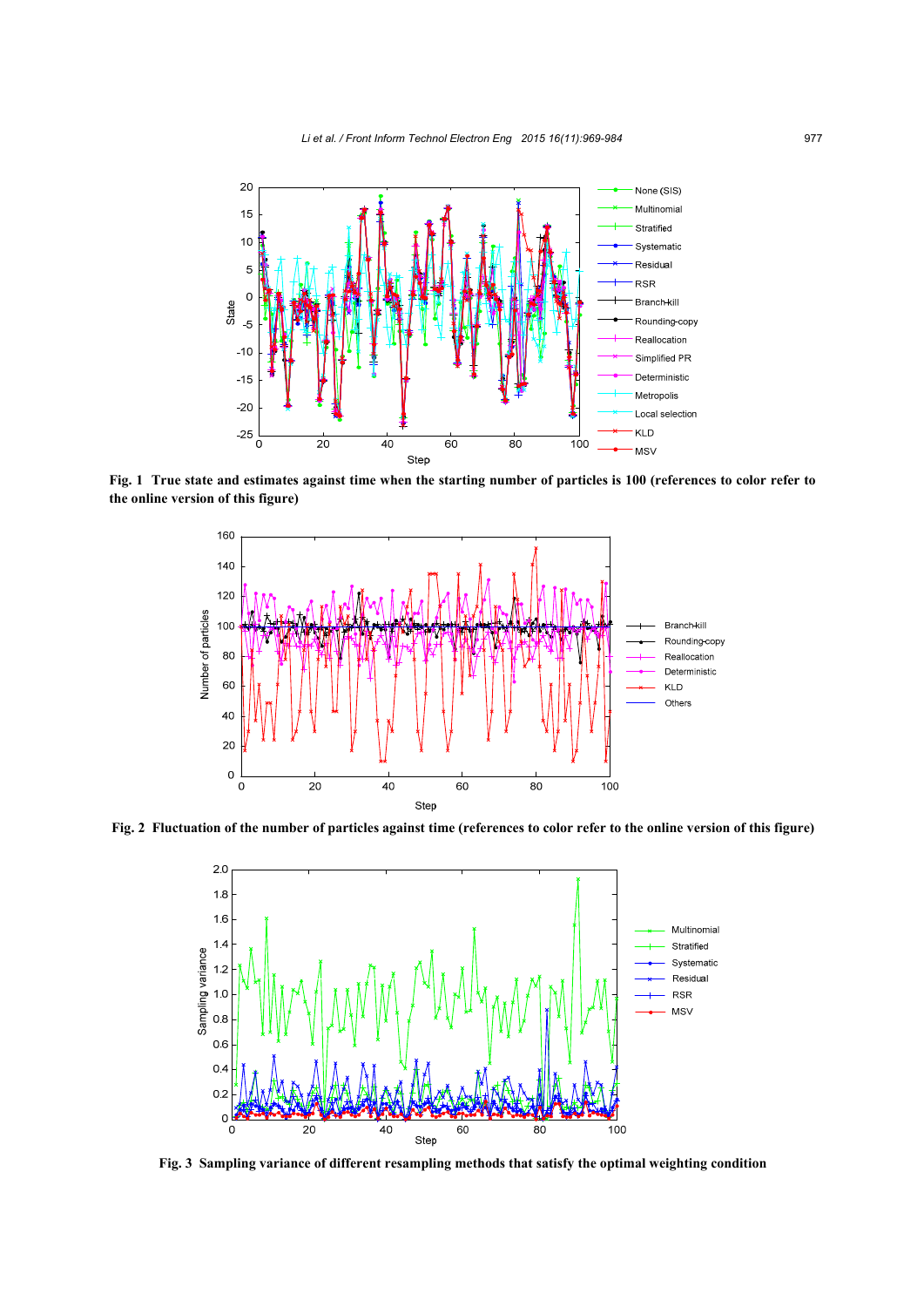

**Fig. 1 True state and estimates against time when the starting number of particles is 100 (references to color refer to the online version of this figure)**



**Fig. 2 Fluctuation of the number of particles against time (references to color refer to the online version of this figure)**



**Fig. 3 Sampling variance of different resampling methods that satisfy the optimal weighting condition**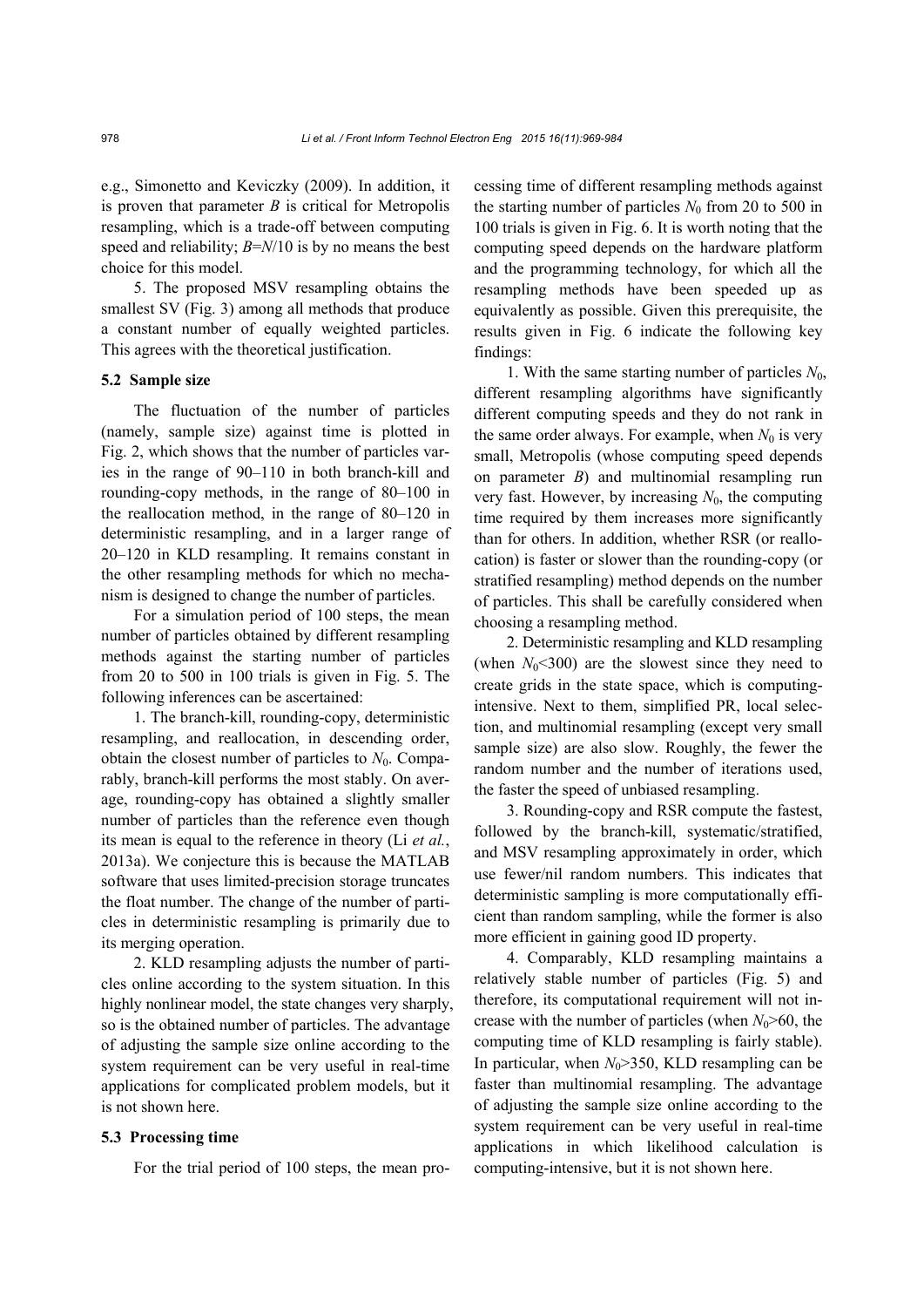e.g., Simonetto and Keviczky (2009). In addition, it is proven that parameter *B* is critical for Metropolis resampling, which is a trade-off between computing speed and reliability; *B*=*N*/10 is by no means the best choice for this model.

5. The proposed MSV resampling obtains the smallest SV (Fig. 3) among all methods that produce a constant number of equally weighted particles. This agrees with the theoretical justification.

## **5.2 Sample size**

The fluctuation of the number of particles (namely, sample size) against time is plotted in Fig. 2, which shows that the number of particles varies in the range of 90–110 in both branch-kill and rounding-copy methods, in the range of 80–100 in the reallocation method, in the range of 80–120 in deterministic resampling, and in a larger range of 20–120 in KLD resampling. It remains constant in the other resampling methods for which no mechanism is designed to change the number of particles.

For a simulation period of 100 steps, the mean number of particles obtained by different resampling methods against the starting number of particles from 20 to 500 in 100 trials is given in Fig. 5. The following inferences can be ascertained:

1. The branch-kill, rounding-copy, deterministic resampling, and reallocation, in descending order, obtain the closest number of particles to  $N_0$ . Comparably, branch-kill performs the most stably. On average, rounding-copy has obtained a slightly smaller number of particles than the reference even though its mean is equal to the reference in theory (Li *et al.*, 2013a). We conjecture this is because the MATLAB software that uses limited-precision storage truncates the float number. The change of the number of particles in deterministic resampling is primarily due to its merging operation.

2. KLD resampling adjusts the number of particles online according to the system situation. In this highly nonlinear model, the state changes very sharply, so is the obtained number of particles. The advantage of adjusting the sample size online according to the system requirement can be very useful in real-time applications for complicated problem models, but it is not shown here.

## **5.3 Processing time**

For the trial period of 100 steps, the mean pro-

cessing time of different resampling methods against the starting number of particles  $N_0$  from 20 to 500 in 100 trials is given in Fig. 6. It is worth noting that the computing speed depends on the hardware platform and the programming technology, for which all the resampling methods have been speeded up as equivalently as possible. Given this prerequisite, the results given in Fig. 6 indicate the following key findings:

1. With the same starting number of particles  $N_0$ , different resampling algorithms have significantly different computing speeds and they do not rank in the same order always. For example, when  $N_0$  is very small, Metropolis (whose computing speed depends on parameter *B*) and multinomial resampling run very fast. However, by increasing  $N_0$ , the computing time required by them increases more significantly than for others. In addition, whether RSR (or reallocation) is faster or slower than the rounding-copy (or stratified resampling) method depends on the number of particles. This shall be carefully considered when choosing a resampling method.

2. Deterministic resampling and KLD resampling (when  $N_0$ <300) are the slowest since they need to create grids in the state space, which is computingintensive. Next to them, simplified PR, local selection, and multinomial resampling (except very small sample size) are also slow. Roughly, the fewer the random number and the number of iterations used, the faster the speed of unbiased resampling.

3. Rounding-copy and RSR compute the fastest, followed by the branch-kill, systematic/stratified, and MSV resampling approximately in order, which use fewer/nil random numbers. This indicates that deterministic sampling is more computationally efficient than random sampling, while the former is also more efficient in gaining good ID property.

4. Comparably, KLD resampling maintains a relatively stable number of particles (Fig. 5) and therefore, its computational requirement will not increase with the number of particles (when  $N_0$ >60, the computing time of KLD resampling is fairly stable). In particular, when  $N_0 > 350$ , KLD resampling can be faster than multinomial resampling. The advantage of adjusting the sample size online according to the system requirement can be very useful in real-time applications in which likelihood calculation is computing-intensive, but it is not shown here.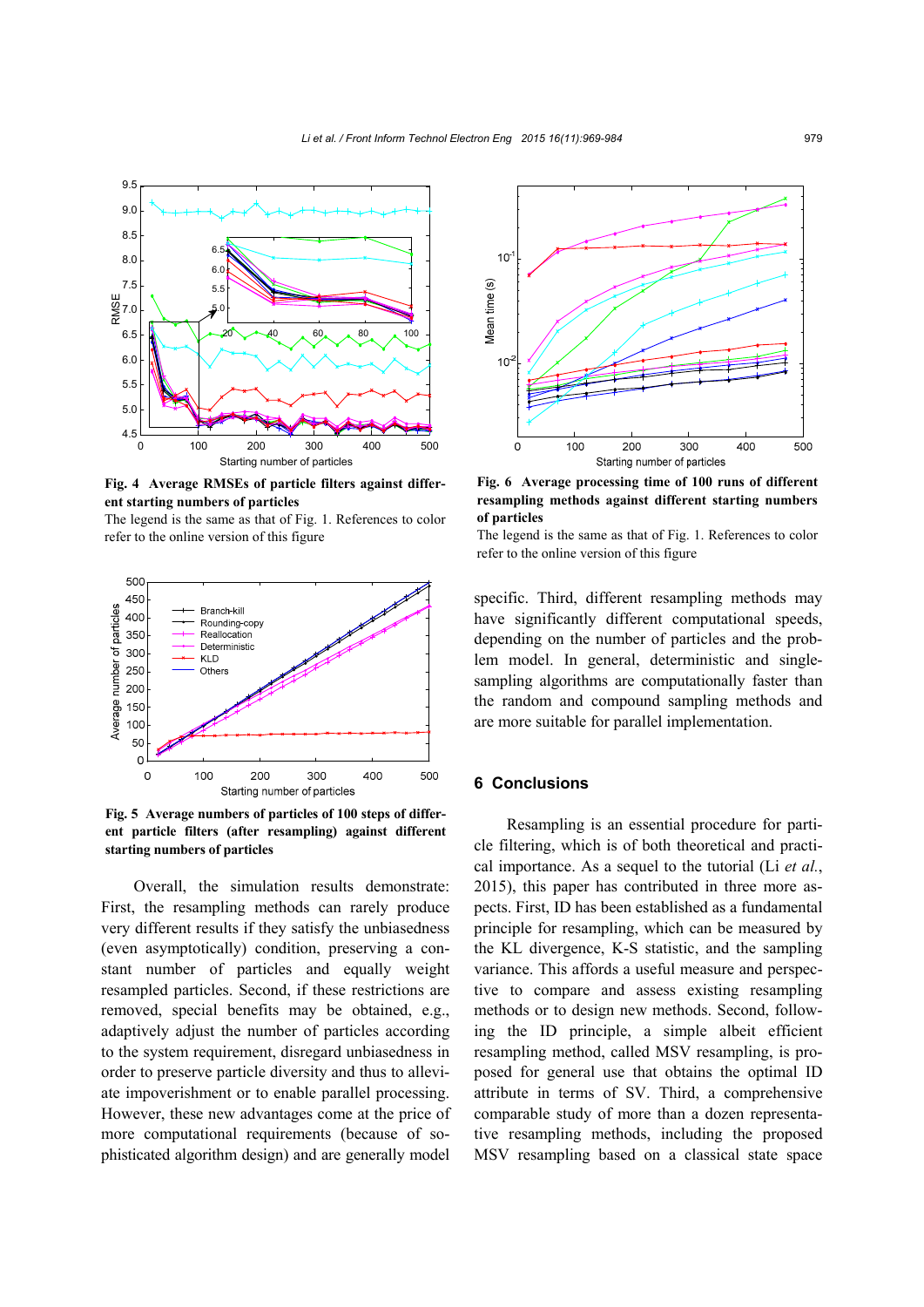

**Fig. 4 Average RMSEs of particle filters against different starting numbers of particles** 

The legend is the same as that of Fig. 1. References to color refer to the online version of this figure



**Fig. 5 Average numbers of particles of 100 steps of different particle filters (after resampling) against different starting numbers of particles**

Overall, the simulation results demonstrate: First, the resampling methods can rarely produce very different results if they satisfy the unbiasedness (even asymptotically) condition, preserving a constant number of particles and equally weight resampled particles. Second, if these restrictions are removed, special benefits may be obtained, e.g., adaptively adjust the number of particles according to the system requirement, disregard unbiasedness in order to preserve particle diversity and thus to alleviate impoverishment or to enable parallel processing. However, these new advantages come at the price of more computational requirements (because of sophisticated algorithm design) and are generally model



**Fig. 6 Average processing time of 100 runs of different resampling methods against different starting numbers of particles** 

The legend is the same as that of Fig. 1. References to color refer to the online version of this figure

specific. Third, different resampling methods may have significantly different computational speeds, depending on the number of particles and the problem model. In general, deterministic and singlesampling algorithms are computationally faster than the random and compound sampling methods and are more suitable for parallel implementation.

#### **6 Conclusions**

Resampling is an essential procedure for particle filtering, which is of both theoretical and practical importance. As a sequel to the tutorial (Li *et al.*, 2015), this paper has contributed in three more aspects. First, ID has been established as a fundamental principle for resampling, which can be measured by the KL divergence, K-S statistic, and the sampling variance. This affords a useful measure and perspective to compare and assess existing resampling methods or to design new methods. Second, following the ID principle, a simple albeit efficient resampling method, called MSV resampling, is proposed for general use that obtains the optimal ID attribute in terms of SV. Third, a comprehensive comparable study of more than a dozen representative resampling methods, including the proposed MSV resampling based on a classical state space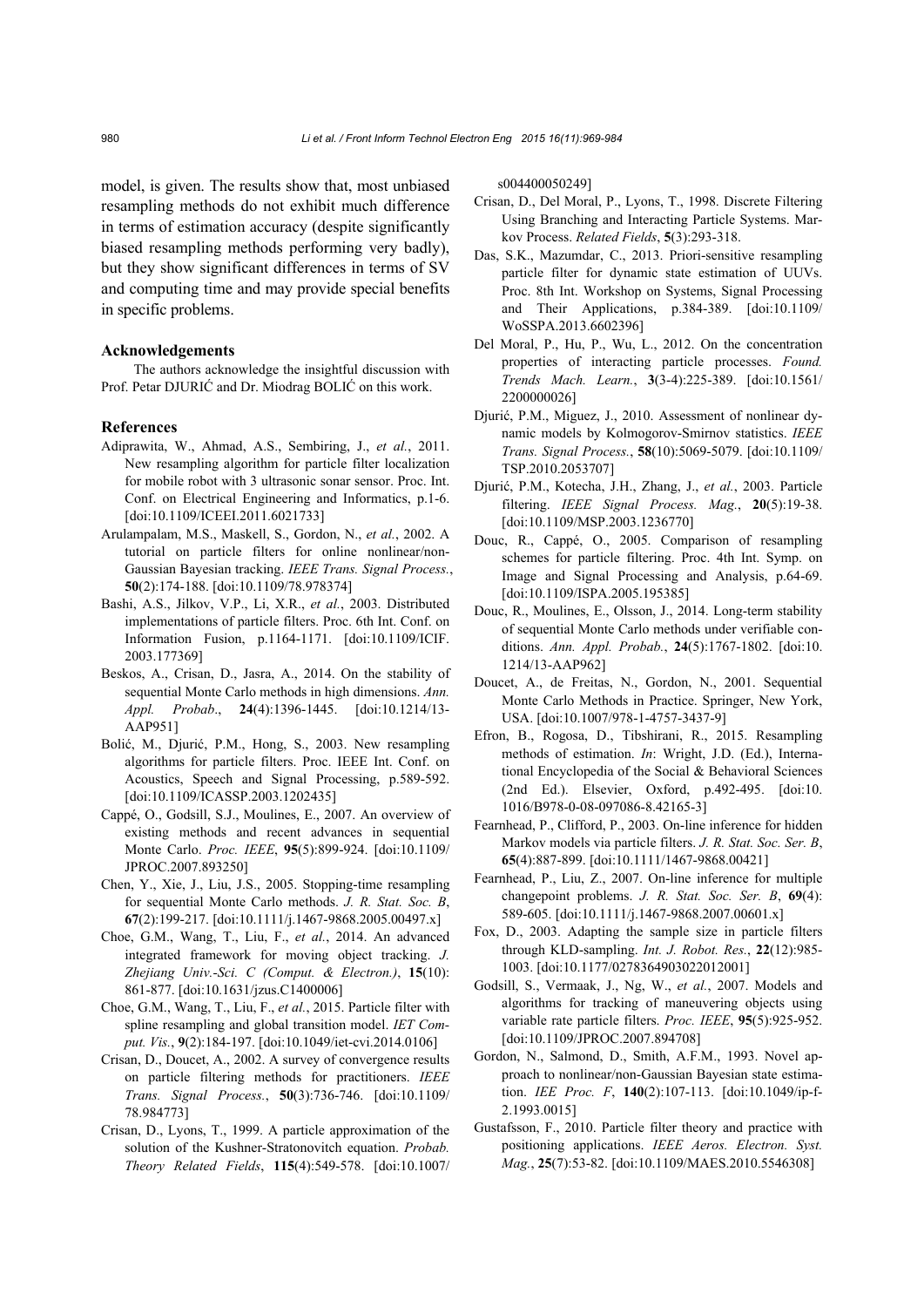model, is given. The results show that, most unbiased resampling methods do not exhibit much difference in terms of estimation accuracy (despite significantly biased resampling methods performing very badly), but they show significant differences in terms of SV and computing time and may provide special benefits in specific problems.

#### **Acknowledgements**

The authors acknowledge the insightful discussion with Prof. Petar DJURIĆ and Dr. Miodrag BOLIĆ on this work.

#### **References**

- Adiprawita, W., Ahmad, A.S., Sembiring, J., *et al.*, 2011. New resampling algorithm for particle filter localization for mobile robot with 3 ultrasonic sonar sensor. Proc. Int. Conf. on Electrical Engineering and Informatics, p.1-6. [doi:10.1109/ICEEI.2011.6021733]
- Arulampalam, M.S., Maskell, S., Gordon, N., *et al.*, 2002. A tutorial on particle filters for online nonlinear/non-Gaussian Bayesian tracking. *IEEE Trans. Signal Process.*, **50**(2):174-188. [doi:10.1109/78.978374]
- Bashi, A.S., Jilkov, V.P., Li, X.R., *et al.*, 2003. Distributed implementations of particle filters. Proc. 6th Int. Conf. on Information Fusion, p.1164-1171. [doi:10.1109/ICIF. 2003.177369]
- Beskos, A., Crisan, D., Jasra, A., 2014. On the stability of sequential Monte Carlo methods in high dimensions. *Ann. Appl. Probab*., **24**(4):1396-1445. [doi:10.1214/13- AAP951]
- Bolić, M., Djurić, P.M., Hong, S., 2003. New resampling algorithms for particle filters. Proc. IEEE Int. Conf. on Acoustics, Speech and Signal Processing, p.589-592. [doi:10.1109/ICASSP.2003.1202435]
- Cappé, O., Godsill, S.J., Moulines, E., 2007. An overview of existing methods and recent advances in sequential Monte Carlo. *Proc. IEEE*, **95**(5):899-924. [doi:10.1109/ JPROC.2007.893250]
- Chen, Y., Xie, J., Liu, J.S., 2005. Stopping-time resampling for sequential Monte Carlo methods. *J. R. Stat. Soc. B*, **67**(2):199-217. [doi:10.1111/j.1467-9868.2005.00497.x]
- Choe, G.M., Wang, T., Liu, F., *et al.*, 2014. An advanced integrated framework for moving object tracking. *J. Zhejiang Univ.-Sci. C (Comput. & Electron.)*, **15**(10): 861-877. [doi:10.1631/jzus.C1400006]
- Choe, G.M., Wang, T., Liu, F., *et al.*, 2015. Particle filter with spline resampling and global transition model. *IET Comput. Vis.*, **9**(2):184-197. [doi:10.1049/iet-cvi.2014.0106]
- Crisan, D., Doucet, A., 2002. A survey of convergence results on particle filtering methods for practitioners. *IEEE Trans. Signal Process.*, **50**(3):736-746. [doi:10.1109/ 78.984773]
- Crisan, D., Lyons, T., 1999. A particle approximation of the solution of the Kushner-Stratonovitch equation. *Probab. Theory Related Fields*, **115**(4):549-578. [doi:10.1007/

s004400050249]

- Crisan, D., Del Moral, P., Lyons, T., 1998. Discrete Filtering Using Branching and Interacting Particle Systems. Markov Process. *Related Fields*, **5**(3):293-318.
- Das, S.K., Mazumdar, C., 2013. Priori-sensitive resampling particle filter for dynamic state estimation of UUVs. Proc. 8th Int. Workshop on Systems, Signal Processing and Their Applications, p.384-389. [doi:10.1109/ WoSSPA.2013.6602396]
- Del Moral, P., Hu, P., Wu, L., 2012. On the concentration properties of interacting particle processes. *Found. Trends Mach. Learn.*, **3**(3-4):225-389. [doi:10.1561/ 2200000026]
- Djurić, P.M., Miguez, J., 2010. Assessment of nonlinear dynamic models by Kolmogorov-Smirnov statistics. *IEEE Trans. Signal Process.*, **58**(10):5069-5079. [doi:10.1109/ TSP.2010.2053707]
- Djurić, P.M., Kotecha, J.H., Zhang, J., *et al.*, 2003. Particle filtering. *IEEE Signal Process. Mag.*, **20**(5):19-38. [doi:10.1109/MSP.2003.1236770]
- Douc, R., Cappé, O., 2005. Comparison of resampling schemes for particle filtering. Proc. 4th Int. Symp. on Image and Signal Processing and Analysis, p.64-69. [doi:10.1109/ISPA.2005.195385]
- Douc, R., Moulines, E., Olsson, J., 2014. Long-term stability of sequential Monte Carlo methods under verifiable conditions. *Ann. Appl. Probab.*, **24**(5):1767-1802. [doi:10. 1214/13-AAP962]
- Doucet, A., de Freitas, N., Gordon, N., 2001. Sequential Monte Carlo Methods in Practice. Springer, New York, USA. [doi:10.1007/978-1-4757-3437-9]
- Efron, B., Rogosa, D., Tibshirani, R., 2015. Resampling methods of estimation. *In*: Wright, J.D. (Ed.), International Encyclopedia of the Social & Behavioral Sciences (2nd Ed.). Elsevier, Oxford, p.492-495. [doi:10. 1016/B978-0-08-097086-8.42165-3]
- Fearnhead, P., Clifford, P., 2003. On-line inference for hidden Markov models via particle filters. *J. R. Stat. Soc. Ser. B*, **65**(4):887-899. [doi:10.1111/1467-9868.00421]
- Fearnhead, P., Liu, Z., 2007. On-line inference for multiple changepoint problems. *J. R. Stat. Soc. Ser. B*, **69**(4): 589-605. [doi:10.1111/j.1467-9868.2007.00601.x]
- Fox, D., 2003. Adapting the sample size in particle filters through KLD-sampling. *Int. J. Robot. Res.*, **22**(12):985- 1003. [doi:10.1177/0278364903022012001]
- Godsill, S., Vermaak, J., Ng, W., *et al.*, 2007. Models and algorithms for tracking of maneuvering objects using variable rate particle filters. *Proc. IEEE*, **95**(5):925-952. [doi:10.1109/JPROC.2007.894708]
- Gordon, N., Salmond, D., Smith, A.F.M., 1993. Novel approach to nonlinear/non-Gaussian Bayesian state estimation. *IEE Proc. F*, **140**(2):107-113. [doi:10.1049/ip-f-2.1993.0015]
- Gustafsson, F., 2010. Particle filter theory and practice with positioning applications. *IEEE Aeros. Electron. Syst. Mag.*, **25**(7):53-82. [doi:10.1109/MAES.2010.5546308]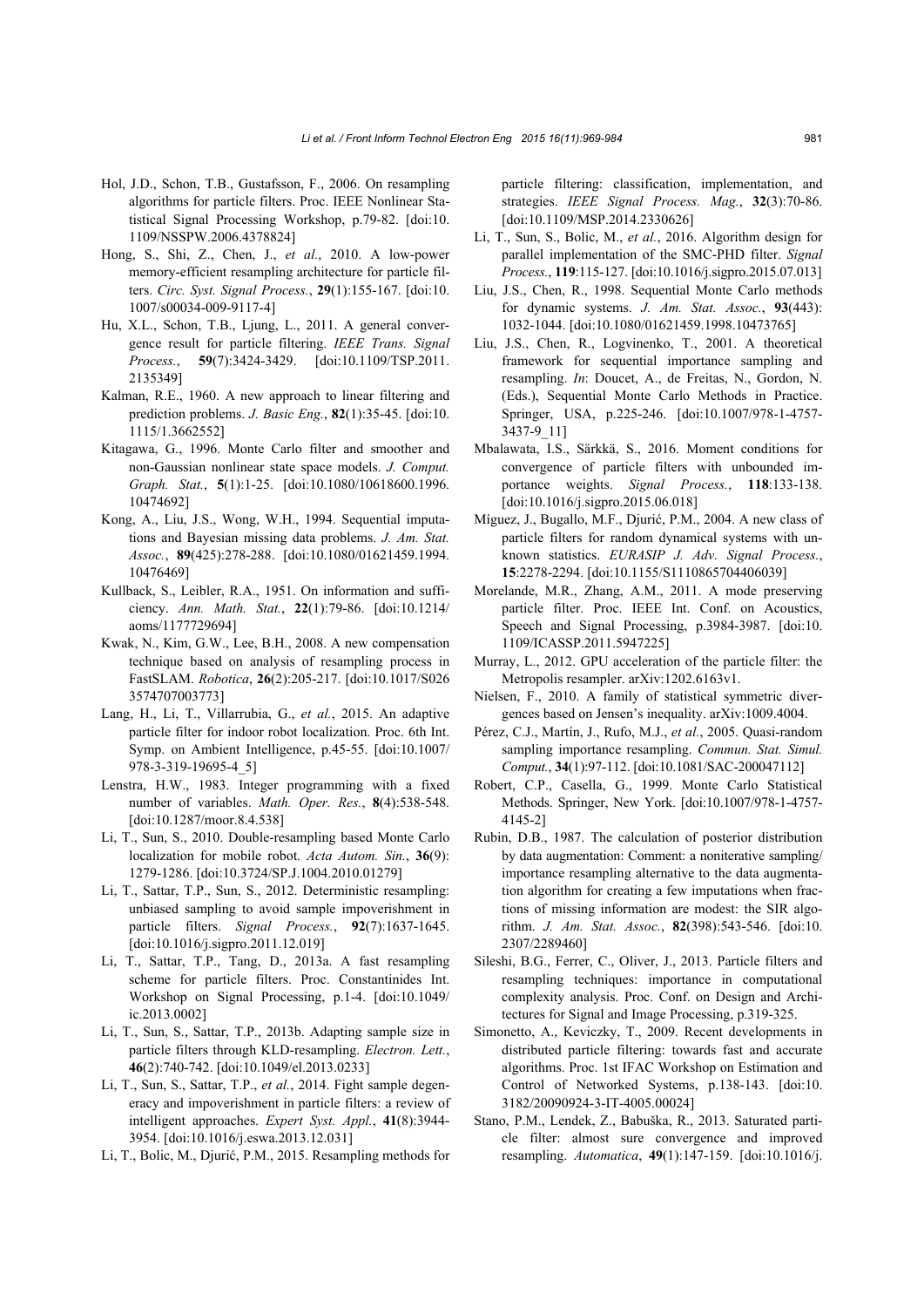- Hol, J.D., Schon, T.B., Gustafsson, F., 2006. On resampling algorithms for particle filters. Proc. IEEE Nonlinear Statistical Signal Processing Workshop, p.79-82. [doi:10. 1109/NSSPW.2006.4378824]
- Hong, S., Shi, Z., Chen, J., *et al.*, 2010. A low-power memory-efficient resampling architecture for particle filters. *Circ. Syst. Signal Process.*, **29**(1):155-167. [doi:10. 1007/s00034-009-9117-4]
- Hu, X.L., Schon, T.B., Ljung, L., 2011. A general convergence result for particle filtering. *IEEE Trans. Signal Process.*, **59**(7):3424-3429. [doi:10.1109/TSP.2011. 2135349]
- Kalman, R.E., 1960. A new approach to linear filtering and prediction problems. *J. Basic Eng.*, **82**(1):35-45. [doi:10. 1115/1.3662552]
- Kitagawa, G., 1996. Monte Carlo filter and smoother and non-Gaussian nonlinear state space models. *J. Comput. Graph. Stat.*, **5**(1):1-25. [doi:10.1080/10618600.1996. 10474692]
- Kong, A., Liu, J.S., Wong, W.H., 1994. Sequential imputations and Bayesian missing data problems. *J. Am. Stat. Assoc.*, **89**(425):278-288. [doi:10.1080/01621459.1994. 10476469]
- Kullback, S., Leibler, R.A., 1951. On information and sufficiency. *Ann. Math. Stat.*, **22**(1):79-86. [doi:10.1214/ aoms/1177729694]
- Kwak, N., Kim, G.W., Lee, B.H., 2008. A new compensation technique based on analysis of resampling process in FastSLAM. *Robotica*, **26**(2):205-217. [doi:10.1017/S026 3574707003773]
- Lang, H., Li, T., Villarrubia, G., *et al.*, 2015. An adaptive particle filter for indoor robot localization. Proc. 6th Int. Symp. on Ambient Intelligence, p.45-55. [doi:10.1007/ 978-3-319-19695-4\_5]
- Lenstra, H.W., 1983. Integer programming with a fixed number of variables. *Math. Oper. Res.*, **8**(4):538-548. [doi:10.1287/moor.8.4.538]
- Li, T., Sun, S., 2010. Double-resampling based Monte Carlo localization for mobile robot. *Acta Autom. Sin.*, **36**(9): 1279-1286. [doi:10.3724/SP.J.1004.2010.01279]
- Li, T., Sattar, T.P., Sun, S., 2012. Deterministic resampling: unbiased sampling to avoid sample impoverishment in particle filters. *Signal Process.*, **92**(7):1637-1645. [doi:10.1016/j.sigpro.2011.12.019]
- Li, T., Sattar, T.P., Tang, D., 2013a. A fast resampling scheme for particle filters. Proc. Constantinides Int. Workshop on Signal Processing, p.1-4. [doi:10.1049/ ic.2013.0002]
- Li, T., Sun, S., Sattar, T.P., 2013b. Adapting sample size in particle filters through KLD-resampling. *Electron. Lett.*, **46**(2):740-742. [doi:10.1049/el.2013.0233]
- Li, T., Sun, S., Sattar, T.P., *et al.*, 2014. Fight sample degeneracy and impoverishment in particle filters: a review of intelligent approaches. *Expert Syst. Appl.*, **41**(8):3944- 3954. [doi:10.1016/j.eswa.2013.12.031]
- Li, T., Bolic, M., Djurić, P.M., 2015. Resampling methods for

particle filtering: classification, implementation, and strategies. *IEEE Signal Process. Mag.*, **32**(3):70-86. [doi:10.1109/MSP.2014.2330626]

- Li, T., Sun, S., Bolic, M., *et al.*, 2016. Algorithm design for parallel implementation of the SMC-PHD filter. *Signal Process.*, **119**:115-127. [doi:10.1016/j.sigpro.2015.07.013]
- Liu, J.S., Chen, R., 1998. Sequential Monte Carlo methods for dynamic systems. *J. Am. Stat. Assoc.*, **93**(443): 1032-1044. [doi:10.1080/01621459.1998.10473765]
- Liu, J.S., Chen, R., Logvinenko, T., 2001. A theoretical framework for sequential importance sampling and resampling. *In*: Doucet, A., de Freitas, N., Gordon, N. (Eds.), Sequential Monte Carlo Methods in Practice. Springer, USA, p.225-246. [doi:10.1007/978-1-4757- 3437-9\_11]
- Mbalawata, I.S., Särkkä, S., 2016. Moment conditions for convergence of particle filters with unbounded importance weights. *Signal Process.*, **118**:133-138. [doi:10.1016/j.sigpro.2015.06.018]
- Míguez, J., Bugallo, M.F., Djurić, P.M., 2004. A new class of particle filters for random dynamical systems with unknown statistics. *EURASIP J. Adv. Signal Process.*, **15**:2278-2294. [doi:10.1155/S1110865704406039]
- Morelande, M.R., Zhang, A.M., 2011. A mode preserving particle filter. Proc. IEEE Int. Conf. on Acoustics, Speech and Signal Processing, p.3984-3987. [doi:10. 1109/ICASSP.2011.5947225]
- Murray, L., 2012. GPU acceleration of the particle filter: the Metropolis resampler. arXiv:1202.6163v1.
- Nielsen, F., 2010. A family of statistical symmetric divergences based on Jensen's inequality. arXiv:1009.4004.
- Pérez, C.J., Martín, J., Rufo, M.J., *et al.*, 2005. Quasi-random sampling importance resampling. *Commun. Stat. Simul. Comput.*, **34**(1):97-112. [doi:10.1081/SAC-200047112]
- Robert, C.P., Casella, G., 1999. Monte Carlo Statistical Methods. Springer, New York. [doi:10.1007/978-1-4757- 4145-2]
- Rubin, D.B., 1987. The calculation of posterior distribution by data augmentation: Comment: a noniterative sampling/ importance resampling alternative to the data augmentation algorithm for creating a few imputations when fractions of missing information are modest: the SIR algorithm. *J. Am. Stat. Assoc.*, **82**(398):543-546. [doi:10. 2307/2289460]
- Sileshi, B.G., Ferrer, C., Oliver, J., 2013. Particle filters and resampling techniques: importance in computational complexity analysis. Proc. Conf. on Design and Architectures for Signal and Image Processing, p.319-325.
- Simonetto, A., Keviczky, T., 2009. Recent developments in distributed particle filtering: towards fast and accurate algorithms. Proc. 1st IFAC Workshop on Estimation and Control of Networked Systems, p.138-143. [doi:10.] 3182/20090924-3-IT-4005.00024]
- Stano, P.M., Lendek, Z., Babuška, R., 2013. Saturated particle filter: almost sure convergence and improved resampling. *Automatica*, **49**(1):147-159. [doi:10.1016/j.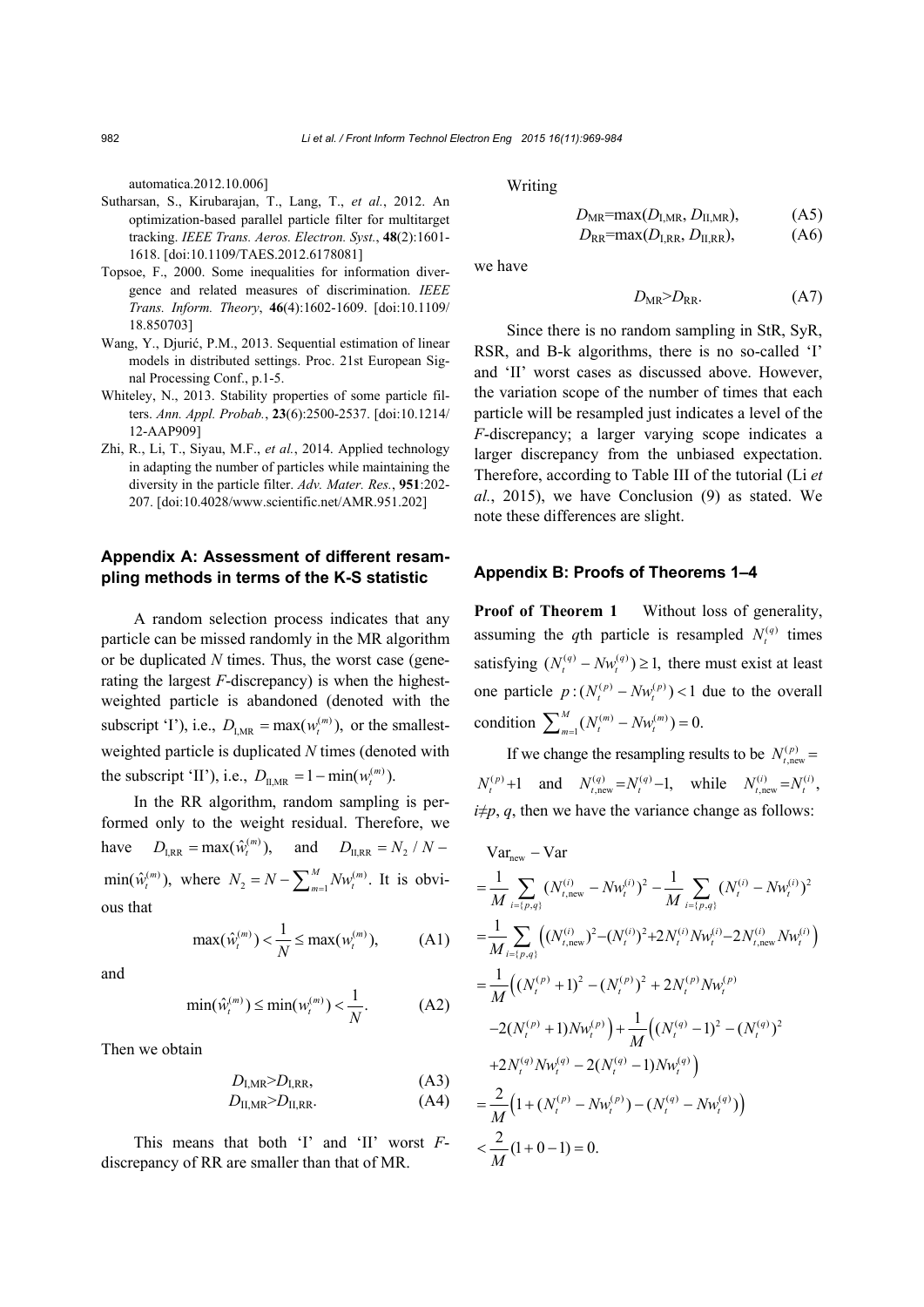automatica.2012.10.006]

- Sutharsan, S., Kirubarajan, T., Lang, T., *et al.*, 2012. An optimization-based parallel particle filter for multitarget tracking. *IEEE Trans. Aeros. Electron. Syst.*, **48**(2):1601- 1618. [doi:10.1109/TAES.2012.6178081]
- Topsoe, F., 2000. Some inequalities for information divergence and related measures of discrimination. *IEEE Trans. Inform. Theory*, **46**(4):1602-1609. [doi:10.1109/ 18.850703]
- Wang, Y., Djurić, P.M., 2013. Sequential estimation of linear models in distributed settings. Proc. 21st European Signal Processing Conf., p.1-5.
- Whiteley, N., 2013. Stability properties of some particle filters. *Ann. Appl. Probab.*, **23**(6):2500-2537. [doi:10.1214/ 12-AAP909]
- Zhi, R., Li, T., Siyau, M.F., *et al.*, 2014. Applied technology in adapting the number of particles while maintaining the diversity in the particle filter. *Adv. Mater. Res.*, **951**:202- 207. [doi:10.4028/www.scientific.net/AMR.951.202]

# **Appendix A: Assessment of different resampling methods in terms of the K-S statistic**

A random selection process indicates that any particle can be missed randomly in the MR algorithm or be duplicated *N* times. Thus, the worst case (generating the largest *F*-discrepancy) is when the highestweighted particle is abandoned (denoted with the subscript 'I'), i.e.,  $D_{I,MR} = \max(w_t^{(m)})$ , or the smallestweighted particle is duplicated *N* times (denoted with the subscript 'II'), i.e.,  $D_{\text{II,MR}} = 1 - \min(w_t^{(m)})$ .

In the RR algorithm, random sampling is performed only to the weight residual. Therefore, we have  $D_{I,RR} = \max(\hat{w}_t^{(m)})$ , and  $D_{II,RR} = N_2 / N \min(\hat{W}_t^{(m)})$ , where  $N_2 = N - \sum_{m=1}^M N W_t^{(m)}$ . It is obvious that

$$
\max(\hat{w}_t^{(m)}) < \frac{1}{N} \le \max(w_t^{(m)}),\tag{A1}
$$

and

$$
\min(\hat{w}_t^{(m)}) \le \min(w_t^{(m)}) < \frac{1}{N}.\tag{A2}
$$

Then we obtain

$$
D_{\text{I},\text{MR}} > D_{\text{I},\text{RR}},\tag{A3}
$$

$$
D_{\text{II,MR}} > D_{\text{II,RR}}.\tag{A4}
$$

This means that both 'I' and 'II' worst *F*discrepancy of RR are smaller than that of MR.

Writing

$$
D_{MR} = \max(D_{I,MR}, D_{II,MR}), \tag{A5}
$$

$$
D_{\rm RR} = \max(D_{\rm I, RR}, D_{\rm II, RR}), \tag{A6}
$$

we have

$$
D_{MR} > D_{RR}.\tag{A7}
$$

Since there is no random sampling in StR, SyR, RSR, and B-k algorithms, there is no so-called 'I' and 'II' worst cases as discussed above. However, the variation scope of the number of times that each particle will be resampled just indicates a level of the *F*-discrepancy; a larger varying scope indicates a larger discrepancy from the unbiased expectation. Therefore, according to Table III of the tutorial (Li *et al.*, 2015), we have Conclusion (9) as stated. We note these differences are slight.

## **Appendix B: Proofs of Theorems 1–4**

**Proof of Theorem 1** Without loss of generality, assuming the *q*th particle is resampled  $N_t^{(q)}$  times satisfying  $(N_t^{(q)} - N w_t^{(q)}) \ge 1$ , there must exist at least one particle  $p:(N_t^{(p)} - N w_t^{(p)}) < 1$  due to the overall condition  $\sum_{m=1}^{M} (N_t^{(m)} - N w_t^{(m)}) = 0.$ 

If we change the resampling results to be  $N_{t, new}^{(p)} =$  $N_t^{(p)}$  +1 and  $N_{t, new}^{(q)} = N_t^{(q)} - 1$ , while  $N_{t, new}^{(i)} = N_t^{(i)}$ ,  $i \neq p$ , *q*, then we have the variance change as follows:

$$
\begin{split} &\nabla \text{ar}_{\text{new}} - \text{Var} \\ &= \frac{1}{M} \sum_{i=\{p,q\}} (N_{t,\text{new}}^{(i)} - N w_{t}^{(i)})^2 - \frac{1}{M} \sum_{i=\{p,q\}} (N_{t}^{(i)} - N w_{t}^{(i)})^2 \\ &= \frac{1}{M} \sum_{i=\{p,q\}} \Big( (N_{t,\text{new}}^{(i)})^2 - (N_{t}^{(i)})^2 + 2 N_{t}^{(i)} N w_{t}^{(i)} - 2 N_{t,\text{new}}^{(i)} N w_{t}^{(i)} \Big) \\ &= \frac{1}{M} \Big( (N_{t}^{(p)} + 1)^2 - (N_{t}^{(p)})^2 + 2 N_{t}^{(p)} N w_{t}^{(p)} \\ &- 2 (N_{t}^{(p)} + 1) N w_{t}^{(p)} \Big) + \frac{1}{M} \Big( (N_{t}^{(q)} - 1)^2 - (N_{t}^{(q)})^2 \\ &+ 2 N_{t}^{(q)} N w_{t}^{(q)} - 2 (N_{t}^{(q)} - 1) N w_{t}^{(q)} \Big) \\ &= \frac{2}{M} \Big( 1 + (N_{t}^{(p)} - N w_{t}^{(p)}) - (N_{t}^{(q)} - N w_{t}^{(q)}) \Big) \\ &< \frac{2}{M} (1 + 0 - 1) = 0. \end{split}
$$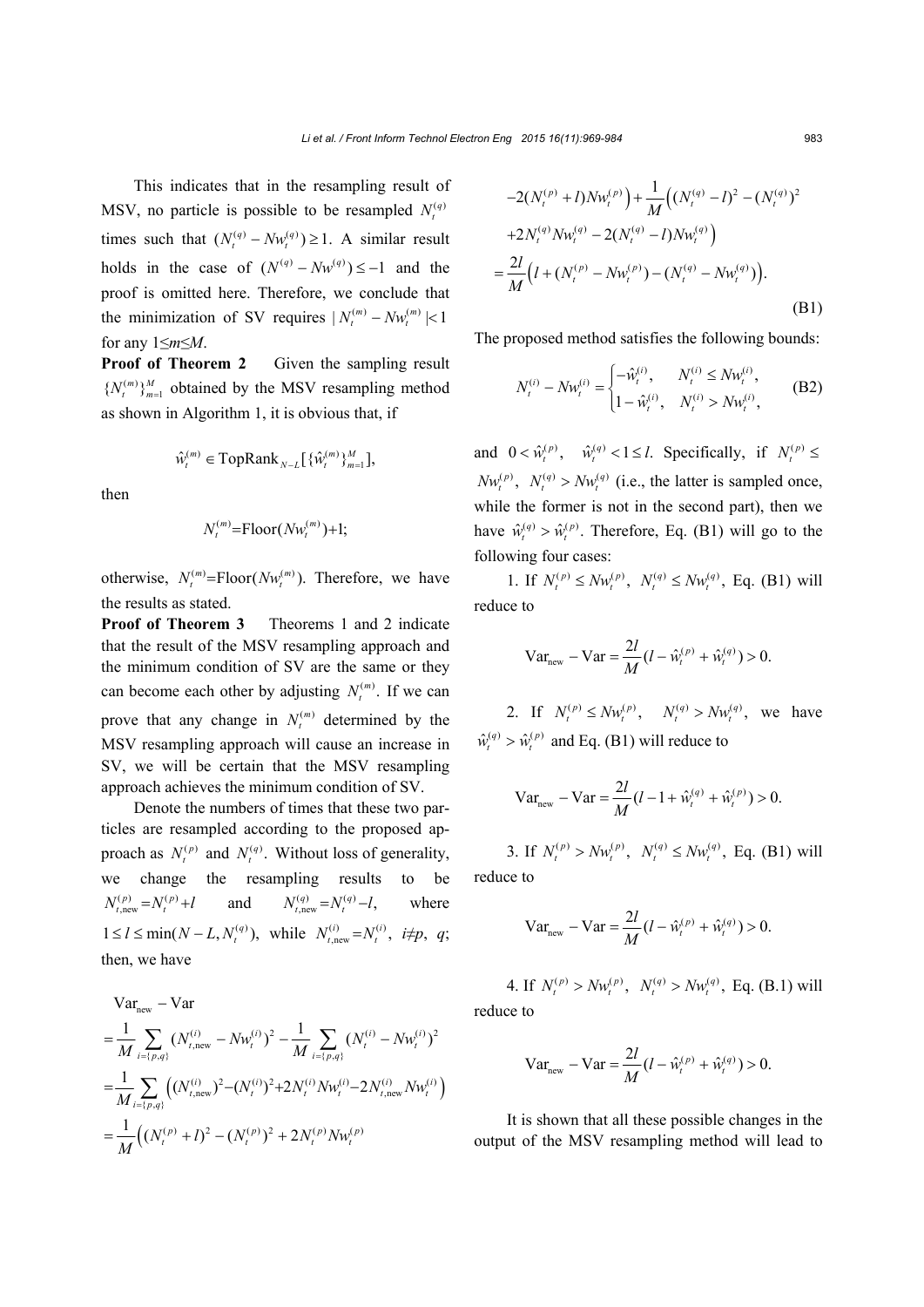This indicates that in the resampling result of MSV, no particle is possible to be resampled  $N_t^{(q)}$ times such that  $(N_t^{(q)} - N w_t^{(q)}) \ge 1$ . A similar result holds in the case of  $(N^{(q)} - N w^{(q)}) \le -1$  and the proof is omitted here. Therefore, we conclude that the minimization of SV requires  $| N_t^{(m)} - N w_t^{(m)} | < 1$ for any 1≤*m*≤*M*.

**Proof of Theorem 2** Given the sampling result  $\{N_t^{(m)}\}_{m=1}^M$  obtained by the MSV resampling method as shown in Algorithm 1, it is obvious that, if

$$
\hat{w}_{t}^{(m)} \in \text{TopRank}_{N-L} \big[ \{ \hat{w}_{t}^{(m)} \}_{m=1}^{M} \big],
$$

then

$$
N_t^{(m)} = \text{Floor}(N w_t^{(m)}) + 1;
$$

otherwise,  $N_t^{(m)} = \text{Floor}(N_{W_t}^{(m)})$ . Therefore, we have the results as stated.

**Proof of Theorem 3** Theorems 1 and 2 indicate that the result of the MSV resampling approach and the minimum condition of SV are the same or they can become each other by adjusting  $N_t^{(m)}$ . If we can prove that any change in  $N_t^{(m)}$  determined by the MSV resampling approach will cause an increase in SV, we will be certain that the MSV resampling approach achieves the minimum condition of SV.

Denote the numbers of times that these two particles are resampled according to the proposed approach as  $N_t^{(p)}$  and  $N_t^{(q)}$ . Without loss of generality, we change the resampling results to be  $N_{t,\text{new}}^{(p)} = N_t^{(p)} + l$  and  $N_{t,\text{new}}^{(q)} = N_t^{(q)}$  $N_{t, new}^{(q)} = N_t^{(q)} - l$ , where  $1 \leq l \leq \min(N - L, N_t^{(q)})$ , while  $N_{t, \text{new}}^{(i)} = N_t^{(i)}$ ,  $i \neq p, q$ ; then, we have

$$
\begin{split} &\text{Var}_{\text{new}} - \text{Var} \\ &= \frac{1}{M} \sum_{i=\{p,q\}} (N_{t,\text{new}}^{(i)} - N w_{t}^{(i)})^2 - \frac{1}{M} \sum_{i=\{p,q\}} (N_{t}^{(i)} - N w_{t}^{(i)})^2 \\ &= \frac{1}{M} \sum_{i=\{p,q\}} \Big( (N_{t,\text{new}}^{(i)})^2 - (N_{t}^{(i)})^2 + 2 N_{t}^{(i)} N w_{t}^{(i)} - 2 N_{t,\text{new}}^{(i)} N w_{t}^{(i)} \Big) \\ &= \frac{1}{M} \Big( (N_{t}^{(p)} + l)^2 - (N_{t}^{(p)})^2 + 2 N_{t}^{(p)} N w_{t}^{(p)} \Big) \end{split}
$$

$$
-2(N_t^{(p)} + l)Nw_t^{(p)} + \frac{1}{M}((N_t^{(q)} - l)^2 - (N_t^{(q)})^2
$$
  
+2N\_t^{(q)}Nw\_t^{(q)} - 2(N\_t^{(q)} - l)Nw\_t^{(q)})  
=  $\frac{2l}{M}(l + (N_t^{(p)} - Nw_t^{(p)}) - (N_t^{(q)} - Nw_t^{(q)}))$ . (B1)

The proposed method satisfies the following bounds:

$$
N_t^{(i)} - N w_t^{(i)} = \begin{cases} -\hat{w}_t^{(i)}, & N_t^{(i)} \le N w_t^{(i)}, \\ 1 - \hat{w}_t^{(i)}, & N_t^{(i)} > N w_t^{(i)}, \end{cases}
$$
 (B2)

and  $0 < \hat{w}_t^{(p)}$ ,  $\hat{w}_t^{(q)} < 1 \le l$ . Specifically, if  $N_t^{(p)} \le$  $N w_t^{(p)}$ ,  $N_t^{(q)} > N w_t^{(q)}$  (i.e., the latter is sampled once, while the former is not in the second part), then we have  $\hat{w}_{t}^{(q)} > \hat{w}_{t}^{(p)}$ . Therefore, Eq. (B1) will go to the following four cases:

1. If  $N_{\epsilon}^{(p)} \leq N w_{\epsilon}^{(p)}$ ,  $N_{\epsilon}^{(q)} \leq N w_{\epsilon}^{(q)}$ , Eq. (B1) will reduce to

$$
\text{Var}_{\text{new}} - \text{Var} = \frac{2l}{M} (l - \hat{w}_t^{(p)} + \hat{w}_t^{(q)}) > 0.
$$

2. If  $N_t^{(p)} \leq N w_t^{(p)}$ ,  $N_t^{(q)} > N w_t^{(q)}$ , we have  $\hat{w}_t^{(q)} > \hat{w}_t^{(p)}$  and Eq. (B1) will reduce to

$$
\text{Var}_{\text{new}} - \text{Var} = \frac{2l}{M} (l - 1 + \hat{w}_t^{(q)} + \hat{w}_t^{(p)}) > 0.
$$

3. If  $N_t^{(p)} > N_{t}^{(p)}$ ,  $N_t^{(q)} \leq N_{t}^{(q)}$ , Eq. (B1) will reduce to

$$
\text{Var}_{\text{new}} - \text{Var} = \frac{2l}{M} (l - \hat{w}_t^{(p)} + \hat{w}_t^{(q)}) > 0.
$$

4. If  $N_t^{(p)} > N w_t^{(p)}$ ,  $N_t^{(q)} > N w_t^{(q)}$ , Eq. (B.1) will reduce to

$$
\text{Var}_{\text{new}} - \text{Var} = \frac{2l}{M} (l - \hat{w}_t^{(p)} + \hat{w}_t^{(q)}) > 0.
$$

It is shown that all these possible changes in the output of the MSV resampling method will lead to